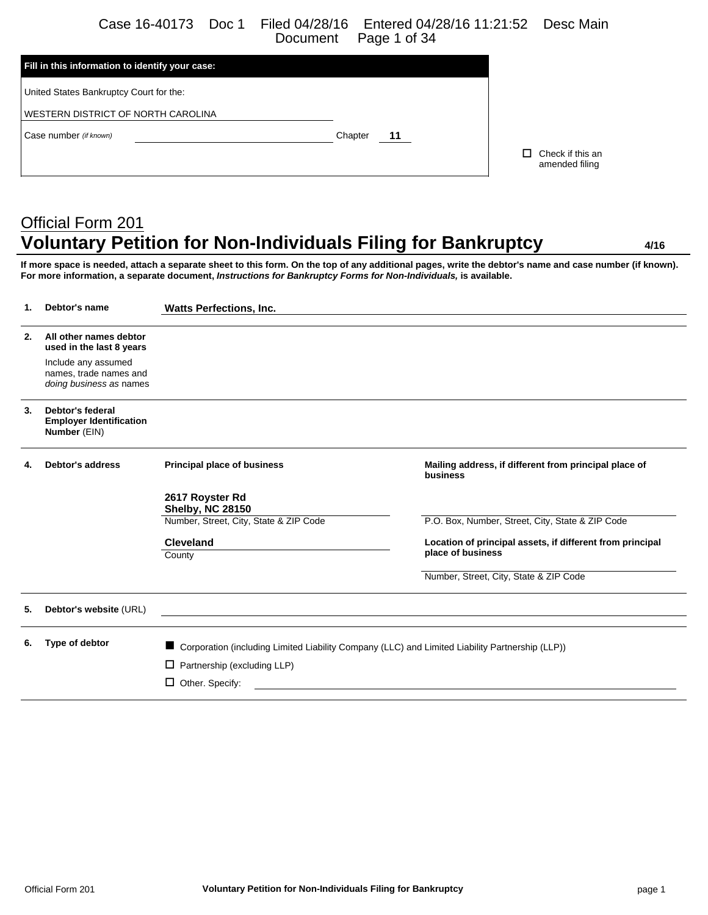Case 16-40173 Doc 1 Filed 04/28/16 Entered 04/28/16 11:21:52 Desc Main Page 1 of 34

| Fill in this information to identify your case: |               |                                    |
|-------------------------------------------------|---------------|------------------------------------|
| United States Bankruptcy Court for the:         |               |                                    |
| WESTERN DISTRICT OF NORTH CAROLINA              |               |                                    |
| Case number (if known)                          | Chapter<br>11 |                                    |
|                                                 |               | Check if this an<br>amended filing |
|                                                 |               |                                    |

# Official Form 201 **Voluntary Petition for Non-Individuals Filing for Bankruptcy 4/16**

**If more space is needed, attach a separate sheet to this form. On the top of any additional pages, write the debtor's name and case number (if known). For more information, a separate document,** *Instructions for Bankruptcy Forms for Non-Individuals,* **is available.**

| 1. | Debtor's name                                                            | <b>Watts Perfections, Inc.</b>                                                                  |                                                                                                                       |
|----|--------------------------------------------------------------------------|-------------------------------------------------------------------------------------------------|-----------------------------------------------------------------------------------------------------------------------|
| 2. | All other names debtor<br>used in the last 8 years                       |                                                                                                 |                                                                                                                       |
|    | Include any assumed<br>names, trade names and<br>doing business as names |                                                                                                 |                                                                                                                       |
| 3. | Debtor's federal<br><b>Employer Identification</b><br>Number (EIN)       |                                                                                                 |                                                                                                                       |
| 4. | <b>Debtor's address</b>                                                  | Principal place of business                                                                     | Mailing address, if different from principal place of<br>business                                                     |
|    |                                                                          | 2617 Royster Rd<br><b>Shelby, NC 28150</b>                                                      |                                                                                                                       |
|    |                                                                          | Number, Street, City, State & ZIP Code                                                          | P.O. Box, Number, Street, City, State & ZIP Code                                                                      |
|    |                                                                          | <b>Cleveland</b><br>County                                                                      | Location of principal assets, if different from principal<br>place of business                                        |
|    |                                                                          |                                                                                                 | Number, Street, City, State & ZIP Code                                                                                |
| 5. | Debtor's website (URL)                                                   |                                                                                                 | <u> 1989 - Johann Stoff, deutscher Stoff, der Stoff, der Stoff, der Stoff, der Stoff, der Stoff, der Stoff, der S</u> |
| 6. | Type of debtor                                                           | Corporation (including Limited Liability Company (LLC) and Limited Liability Partnership (LLP)) |                                                                                                                       |
|    |                                                                          | $\Box$ Partnership (excluding LLP)                                                              |                                                                                                                       |
|    |                                                                          | $\Box$ Other. Specify:                                                                          |                                                                                                                       |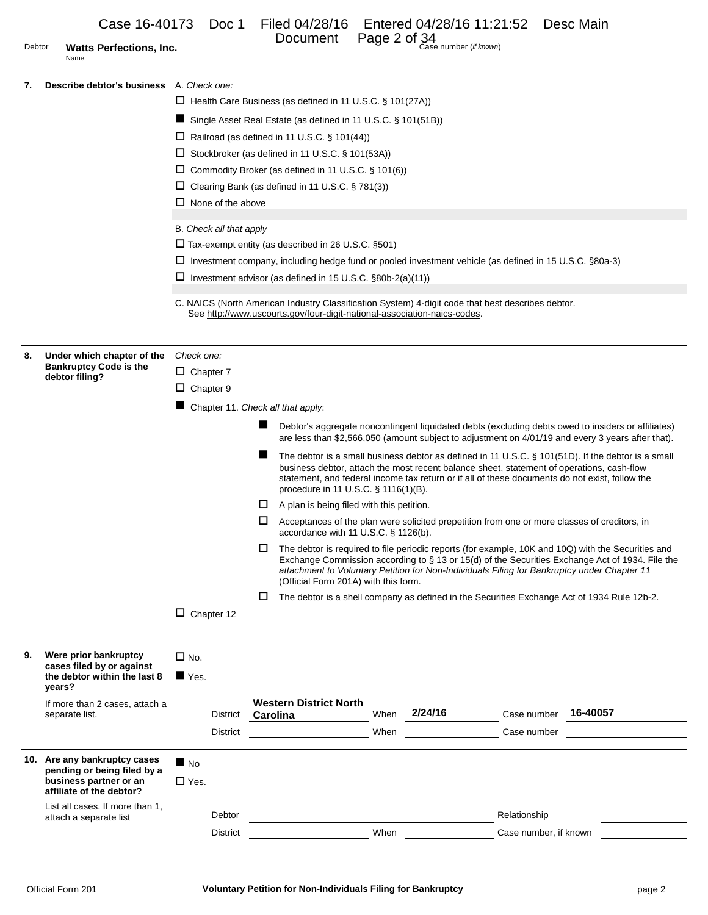|        | attach a separate list                                                                |                     | Debtor<br><b>District</b> |          |                                                                                                                                                                               |      | When $\qquad \qquad$                                                          | Relationship<br>Case number, if known |                                                                                                                                                                                                         |
|--------|---------------------------------------------------------------------------------------|---------------------|---------------------------|----------|-------------------------------------------------------------------------------------------------------------------------------------------------------------------------------|------|-------------------------------------------------------------------------------|---------------------------------------|---------------------------------------------------------------------------------------------------------------------------------------------------------------------------------------------------------|
|        | business partner or an<br>affiliate of the debtor?<br>List all cases. If more than 1, | $\Box$ Yes.         |                           |          |                                                                                                                                                                               |      |                                                                               |                                       |                                                                                                                                                                                                         |
|        | 10. Are any bankruptcy cases<br>pending or being filed by a                           | $\blacksquare$ No   |                           |          |                                                                                                                                                                               |      |                                                                               |                                       |                                                                                                                                                                                                         |
|        |                                                                                       |                     | District                  |          |                                                                                                                                                                               | When |                                                                               | Case number                           |                                                                                                                                                                                                         |
|        | If more than 2 cases, attach a<br>separate list.                                      |                     | District                  | Carolina | <b>Western District North</b>                                                                                                                                                 | When | 2/24/16                                                                       | Case number                           | 16-40057                                                                                                                                                                                                |
|        | the debtor within the last 8<br>years?                                                | $\blacksquare$ Yes. |                           |          |                                                                                                                                                                               |      |                                                                               |                                       |                                                                                                                                                                                                         |
| 9.     | Were prior bankruptcy<br>cases filed by or against                                    | $\Box$ No.          |                           |          |                                                                                                                                                                               |      |                                                                               |                                       |                                                                                                                                                                                                         |
|        |                                                                                       |                     |                           |          |                                                                                                                                                                               |      |                                                                               |                                       |                                                                                                                                                                                                         |
|        |                                                                                       |                     | $\Box$ Chapter 12         |          |                                                                                                                                                                               |      |                                                                               |                                       |                                                                                                                                                                                                         |
|        |                                                                                       |                     |                           | ш        |                                                                                                                                                                               |      |                                                                               |                                       | The debtor is a shell company as defined in the Securities Exchange Act of 1934 Rule 12b-2.                                                                                                             |
|        |                                                                                       |                     |                           |          | (Official Form 201A) with this form.                                                                                                                                          |      |                                                                               |                                       | Exchange Commission according to § 13 or 15(d) of the Securities Exchange Act of 1934. File the<br>attachment to Voluntary Petition for Non-Individuals Filing for Bankruptcy under Chapter 11          |
|        |                                                                                       |                     |                           | □        | accordance with 11 U.S.C. § 1126(b).                                                                                                                                          |      |                                                                               |                                       | The debtor is required to file periodic reports (for example, 10K and 10Q) with the Securities and                                                                                                      |
|        |                                                                                       |                     |                           | ப        |                                                                                                                                                                               |      |                                                                               |                                       | Acceptances of the plan were solicited prepetition from one or more classes of creditors, in                                                                                                            |
|        |                                                                                       |                     |                           |          | procedure in 11 U.S.C. § 1116(1)(B).<br>$\Box$ A plan is being filed with this petition.                                                                                      |      |                                                                               |                                       |                                                                                                                                                                                                         |
|        |                                                                                       |                     |                           |          |                                                                                                                                                                               |      |                                                                               |                                       | business debtor, attach the most recent balance sheet, statement of operations, cash-flow<br>statement, and federal income tax return or if all of these documents do not exist, follow the             |
|        |                                                                                       |                     |                           | ш        |                                                                                                                                                                               |      |                                                                               |                                       | are less than \$2,566,050 (amount subject to adjustment on 4/01/19 and every 3 years after that).<br>The debtor is a small business debtor as defined in 11 U.S.C. § 101(51D). If the debtor is a small |
|        |                                                                                       |                     |                           | ▬        |                                                                                                                                                                               |      |                                                                               |                                       | Debtor's aggregate noncontingent liquidated debts (excluding debts owed to insiders or affiliates)                                                                                                      |
|        |                                                                                       | $\Box$ Chapter 9    |                           |          | Chapter 11. Check all that apply:                                                                                                                                             |      |                                                                               |                                       |                                                                                                                                                                                                         |
|        | <b>Bankruptcy Code is the</b><br>debtor filing?                                       | $\Box$ Chapter 7    |                           |          |                                                                                                                                                                               |      |                                                                               |                                       |                                                                                                                                                                                                         |
| 8.     | Under which chapter of the                                                            | Check one:          |                           |          |                                                                                                                                                                               |      |                                                                               |                                       |                                                                                                                                                                                                         |
|        |                                                                                       |                     |                           |          |                                                                                                                                                                               |      |                                                                               |                                       |                                                                                                                                                                                                         |
|        |                                                                                       |                     |                           |          | C. NAICS (North American Industry Classification System) 4-digit code that best describes debtor.<br>See http://www.uscourts.gov/four-digit-national-association-naics-codes. |      |                                                                               |                                       |                                                                                                                                                                                                         |
|        |                                                                                       |                     |                           |          | $\Box$ Investment advisor (as defined in 15 U.S.C. §80b-2(a)(11))                                                                                                             |      |                                                                               |                                       |                                                                                                                                                                                                         |
|        |                                                                                       |                     |                           |          | $\Box$ Investment company, including hedge fund or pooled investment vehicle (as defined in 15 U.S.C. §80a-3)                                                                 |      |                                                                               |                                       |                                                                                                                                                                                                         |
|        |                                                                                       |                     | B. Check all that apply   |          | $\Box$ Tax-exempt entity (as described in 26 U.S.C. §501)                                                                                                                     |      |                                                                               |                                       |                                                                                                                                                                                                         |
|        |                                                                                       |                     |                           |          |                                                                                                                                                                               |      |                                                                               |                                       |                                                                                                                                                                                                         |
|        |                                                                                       |                     | $\Box$ None of the above  |          | $\Box$ Clearing Bank (as defined in 11 U.S.C. § 781(3))                                                                                                                       |      |                                                                               |                                       |                                                                                                                                                                                                         |
|        |                                                                                       |                     |                           |          | $\Box$ Commodity Broker (as defined in 11 U.S.C. § 101(6))                                                                                                                    |      |                                                                               |                                       |                                                                                                                                                                                                         |
|        |                                                                                       |                     |                           |          | $\Box$ Stockbroker (as defined in 11 U.S.C. § 101(53A))                                                                                                                       |      |                                                                               |                                       |                                                                                                                                                                                                         |
|        |                                                                                       |                     |                           |          | Single Asset Real Estate (as defined in 11 U.S.C. § 101(51B))<br>$\Box$ Railroad (as defined in 11 U.S.C. § 101(44))                                                          |      |                                                                               |                                       |                                                                                                                                                                                                         |
|        |                                                                                       |                     |                           |          | $\Box$ Health Care Business (as defined in 11 U.S.C. § 101(27A))                                                                                                              |      |                                                                               |                                       |                                                                                                                                                                                                         |
| 7.     | Describe debtor's business A. Check one:                                              |                     |                           |          |                                                                                                                                                                               |      |                                                                               |                                       |                                                                                                                                                                                                         |
| Debtor | <b>Watts Perfections, Inc.</b><br>Name                                                |                     |                           |          |                                                                                                                                                                               |      |                                                                               |                                       |                                                                                                                                                                                                         |
|        | Case 16-40173                                                                         |                     | Doc 1                     |          | Filed 04/28/16<br>Document                                                                                                                                                    |      | Entered 04/28/16 11:21:52<br>Page 2 of 34<br>Page 2 of Case number (if known) |                                       | Desc Main                                                                                                                                                                                               |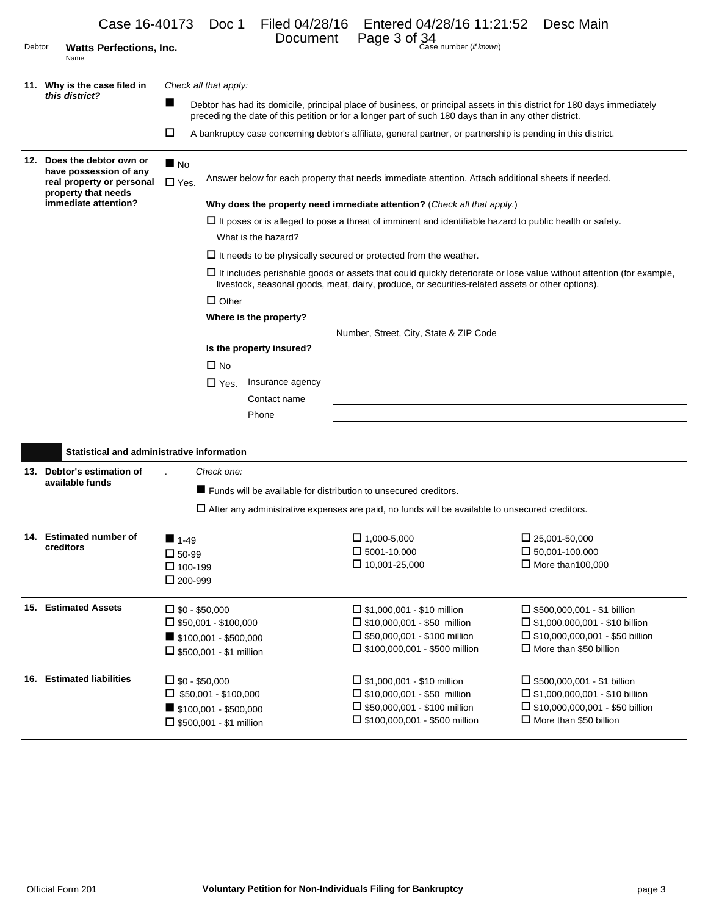| Debtor | Case 16-40173 Doc 1<br><b>Watts Perfections, Inc.</b>                                                                                                                                                                          |                                  |                                                                                                                | Filed 04/28/16<br>Document |  | Entered 04/28/16 11:21:52 Desc Main<br>Page 3 of 34<br>Case number (if known)                                                                                                                                                    |  |                                                                                 |  |  |
|--------|--------------------------------------------------------------------------------------------------------------------------------------------------------------------------------------------------------------------------------|----------------------------------|----------------------------------------------------------------------------------------------------------------|----------------------------|--|----------------------------------------------------------------------------------------------------------------------------------------------------------------------------------------------------------------------------------|--|---------------------------------------------------------------------------------|--|--|
|        | Name                                                                                                                                                                                                                           |                                  |                                                                                                                |                            |  |                                                                                                                                                                                                                                  |  |                                                                                 |  |  |
|        | 11. Why is the case filed in                                                                                                                                                                                                   |                                  | Check all that apply:                                                                                          |                            |  |                                                                                                                                                                                                                                  |  |                                                                                 |  |  |
|        | this district?                                                                                                                                                                                                                 | ▬                                |                                                                                                                |                            |  | Debtor has had its domicile, principal place of business, or principal assets in this district for 180 days immediately<br>preceding the date of this petition or for a longer part of such 180 days than in any other district. |  |                                                                                 |  |  |
|        |                                                                                                                                                                                                                                | □                                |                                                                                                                |                            |  | A bankruptcy case concerning debtor's affiliate, general partner, or partnership is pending in this district.                                                                                                                    |  |                                                                                 |  |  |
|        |                                                                                                                                                                                                                                |                                  |                                                                                                                |                            |  |                                                                                                                                                                                                                                  |  |                                                                                 |  |  |
|        | 12. Does the debtor own or<br>have possession of any                                                                                                                                                                           | $\blacksquare$ No                |                                                                                                                |                            |  |                                                                                                                                                                                                                                  |  |                                                                                 |  |  |
|        | real property or personal                                                                                                                                                                                                      | $\Box$ Yes.                      | Answer below for each property that needs immediate attention. Attach additional sheets if needed.             |                            |  |                                                                                                                                                                                                                                  |  |                                                                                 |  |  |
|        | property that needs<br>immediate attention?                                                                                                                                                                                    |                                  |                                                                                                                |                            |  | Why does the property need immediate attention? (Check all that apply.)                                                                                                                                                          |  |                                                                                 |  |  |
|        |                                                                                                                                                                                                                                |                                  | $\Box$ It poses or is alleged to pose a threat of imminent and identifiable hazard to public health or safety. |                            |  |                                                                                                                                                                                                                                  |  |                                                                                 |  |  |
|        |                                                                                                                                                                                                                                |                                  |                                                                                                                | What is the hazard?        |  |                                                                                                                                                                                                                                  |  |                                                                                 |  |  |
|        |                                                                                                                                                                                                                                |                                  |                                                                                                                |                            |  | $\Box$ It needs to be physically secured or protected from the weather.                                                                                                                                                          |  |                                                                                 |  |  |
|        | $\Box$ It includes perishable goods or assets that could quickly deteriorate or lose value without attention (for example,<br>livestock, seasonal goods, meat, dairy, produce, or securities-related assets or other options). |                                  |                                                                                                                |                            |  |                                                                                                                                                                                                                                  |  |                                                                                 |  |  |
|        | $\Box$ Other<br><u> 1989 - Johann John Stein, markin film yn y brening yn y brening yn y brening yn y brening y brening yn y bre</u>                                                                                           |                                  |                                                                                                                |                            |  |                                                                                                                                                                                                                                  |  |                                                                                 |  |  |
|        | Where is the property?                                                                                                                                                                                                         |                                  |                                                                                                                |                            |  |                                                                                                                                                                                                                                  |  |                                                                                 |  |  |
|        |                                                                                                                                                                                                                                |                                  |                                                                                                                |                            |  | Number, Street, City, State & ZIP Code                                                                                                                                                                                           |  |                                                                                 |  |  |
|        | Is the property insured?                                                                                                                                                                                                       |                                  |                                                                                                                |                            |  |                                                                                                                                                                                                                                  |  |                                                                                 |  |  |
|        |                                                                                                                                                                                                                                |                                  | $\Box$ No                                                                                                      |                            |  |                                                                                                                                                                                                                                  |  |                                                                                 |  |  |
|        |                                                                                                                                                                                                                                |                                  | $\square$ Yes.                                                                                                 | Insurance agency           |  |                                                                                                                                                                                                                                  |  |                                                                                 |  |  |
|        |                                                                                                                                                                                                                                |                                  |                                                                                                                | Contact name               |  |                                                                                                                                                                                                                                  |  |                                                                                 |  |  |
|        |                                                                                                                                                                                                                                |                                  |                                                                                                                | Phone                      |  |                                                                                                                                                                                                                                  |  |                                                                                 |  |  |
|        | Statistical and administrative information                                                                                                                                                                                     |                                  |                                                                                                                |                            |  |                                                                                                                                                                                                                                  |  |                                                                                 |  |  |
|        | 13. Debtor's estimation of                                                                                                                                                                                                     |                                  | Check one:                                                                                                     |                            |  |                                                                                                                                                                                                                                  |  |                                                                                 |  |  |
|        | available funds                                                                                                                                                                                                                |                                  |                                                                                                                |                            |  | ■ Funds will be available for distribution to unsecured creditors.                                                                                                                                                               |  |                                                                                 |  |  |
|        |                                                                                                                                                                                                                                |                                  |                                                                                                                |                            |  | $\Box$ After any administrative expenses are paid, no funds will be available to unsecured creditors.                                                                                                                            |  |                                                                                 |  |  |
|        |                                                                                                                                                                                                                                |                                  |                                                                                                                |                            |  |                                                                                                                                                                                                                                  |  |                                                                                 |  |  |
|        | 14. Estimated number of                                                                                                                                                                                                        | $1 - 49$                         |                                                                                                                |                            |  | $\Box$ 1,000-5,000                                                                                                                                                                                                               |  | $\Box$ 25,001-50,000                                                            |  |  |
|        | creditors                                                                                                                                                                                                                      | $\square$ 50-99                  |                                                                                                                |                            |  | $\square$ 5001-10,000                                                                                                                                                                                                            |  | $\Box$ 50,001-100,000                                                           |  |  |
|        |                                                                                                                                                                                                                                | $\Box$ 100-199<br>$\Box$ 200-999 |                                                                                                                |                            |  | $\Box$ 10,001-25,000                                                                                                                                                                                                             |  | $\Box$ More than 100,000                                                        |  |  |
|        |                                                                                                                                                                                                                                |                                  |                                                                                                                |                            |  |                                                                                                                                                                                                                                  |  |                                                                                 |  |  |
|        | 15. Estimated Assets                                                                                                                                                                                                           | $\square$ \$0 - \$50,000         |                                                                                                                |                            |  | $\Box$ \$1,000,001 - \$10 million                                                                                                                                                                                                |  | $\Box$ \$500,000,001 - \$1 billion                                              |  |  |
|        |                                                                                                                                                                                                                                |                                  | $\square$ \$50,001 - \$100,000                                                                                 |                            |  | $\Box$ \$10,000,001 - \$50 million<br>$\Box$ \$50,000,001 - \$100 million                                                                                                                                                        |  | □ \$1,000,000,001 - \$10 billion<br>$\Box$ \$10,000,000,001 - \$50 billion      |  |  |
|        |                                                                                                                                                                                                                                |                                  | $\blacksquare$ \$100,001 - \$500,000<br>$\Box$ \$500,001 - \$1 million                                         |                            |  | $\square$ \$100,000,001 - \$500 million                                                                                                                                                                                          |  | $\Box$ More than \$50 billion                                                   |  |  |
|        |                                                                                                                                                                                                                                |                                  |                                                                                                                |                            |  |                                                                                                                                                                                                                                  |  |                                                                                 |  |  |
|        | 16. Estimated liabilities                                                                                                                                                                                                      | $\square$ \$0 - \$50,000         |                                                                                                                |                            |  | $\Box$ \$1,000,001 - \$10 million                                                                                                                                                                                                |  | $\Box$ \$500,000,001 - \$1 billion                                              |  |  |
|        |                                                                                                                                                                                                                                |                                  | $\Box$ \$50,001 - \$100,000                                                                                    |                            |  | $\Box$ \$10,000,001 - \$50 million<br>$\Box$ \$50,000,001 - \$100 million                                                                                                                                                        |  | $\Box$ \$1,000,000,001 - \$10 billion<br>$\Box$ \$10,000,000,001 - \$50 billion |  |  |
|        |                                                                                                                                                                                                                                |                                  | $\blacksquare$ \$100,001 - \$500,000<br>$\Box$ \$500,001 - \$1 million                                         |                            |  | $\Box$ \$100,000,001 - \$500 million                                                                                                                                                                                             |  | $\Box$ More than \$50 billion                                                   |  |  |
|        |                                                                                                                                                                                                                                |                                  |                                                                                                                |                            |  |                                                                                                                                                                                                                                  |  |                                                                                 |  |  |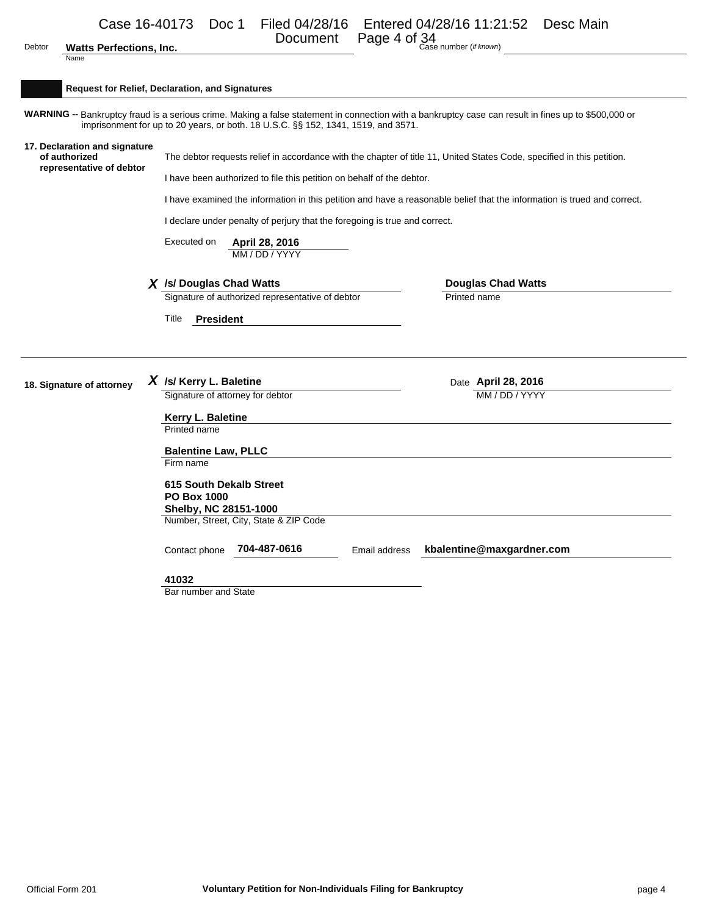| <b>Watts Perfections, Inc.</b> |  |
|--------------------------------|--|
|                                |  |

Document Page 4 of 34

| Debtor<br><b>Watts Perfections, Inc.</b><br>Name                           |                                                                                                                                                                                                                                                                                                                                  | Case number (if known)                                                                                                   |
|----------------------------------------------------------------------------|----------------------------------------------------------------------------------------------------------------------------------------------------------------------------------------------------------------------------------------------------------------------------------------------------------------------------------|--------------------------------------------------------------------------------------------------------------------------|
|                                                                            | <b>Request for Relief, Declaration, and Signatures</b>                                                                                                                                                                                                                                                                           |                                                                                                                          |
|                                                                            | WARNING -- Bankruptcy fraud is a serious crime. Making a false statement in connection with a bankruptcy case can result in fines up to \$500,000 or<br>imprisonment for up to 20 years, or both. 18 U.S.C. §§ 152, 1341, 1519, and 3571.                                                                                        |                                                                                                                          |
| 17. Declaration and signature<br>of authorized<br>representative of debtor | The debtor requests relief in accordance with the chapter of title 11, United States Code, specified in this petition.<br>I have been authorized to file this petition on behalf of the debtor.<br>I declare under penalty of perjury that the foregoing is true and correct.<br>Executed on<br>April 28, 2016<br>MM / DD / YYYY | I have examined the information in this petition and have a reasonable belief that the information is trued and correct. |
|                                                                            | X /s/ Douglas Chad Watts<br>Signature of authorized representative of debtor<br><b>President</b><br>Title                                                                                                                                                                                                                        | <b>Douglas Chad Watts</b><br>Printed name                                                                                |
| 18. Signature of attorney                                                  | $X$ /s/ Kerry L. Baletine<br>Signature of attorney for debtor                                                                                                                                                                                                                                                                    | Date April 28, 2016<br>MM / DD / YYYY                                                                                    |
|                                                                            | Kerry L. Baletine<br>Printed name<br><b>Balentine Law, PLLC</b><br>Firm name                                                                                                                                                                                                                                                     |                                                                                                                          |
|                                                                            | <b>615 South Dekalb Street</b><br><b>PO Box 1000</b><br>Shelby, NC 28151-1000<br>Number, Street, City, State & ZIP Code                                                                                                                                                                                                          |                                                                                                                          |
|                                                                            | 704-487-0616<br>Contact phone<br>Email address                                                                                                                                                                                                                                                                                   | kbalentine@maxgardner.com                                                                                                |
|                                                                            | 41032<br>Bar number and State                                                                                                                                                                                                                                                                                                    |                                                                                                                          |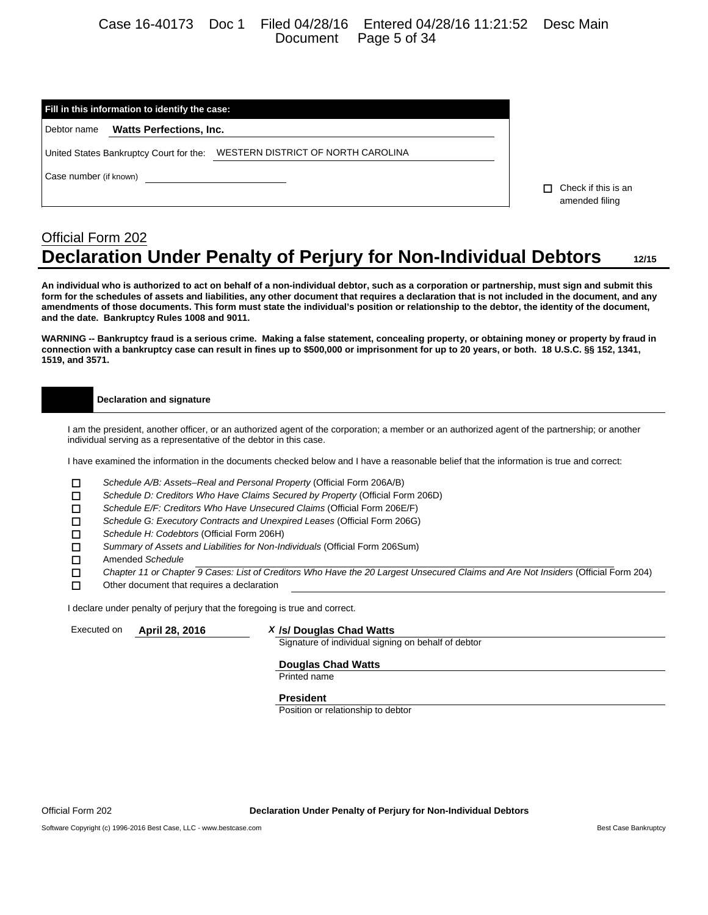### Case 16-40173 Doc 1 Filed 04/28/16 Entered 04/28/16 11:21:52 Desc Main Document Page 5 of 34

| Fill in this information to identify the case:                             |                                             |  |  |  |  |  |  |
|----------------------------------------------------------------------------|---------------------------------------------|--|--|--|--|--|--|
| <b>Watts Perfections, Inc.</b><br>Debtor name                              |                                             |  |  |  |  |  |  |
| United States Bankruptcy Court for the: WESTERN DISTRICT OF NORTH CAROLINA |                                             |  |  |  |  |  |  |
| Case number (if known)                                                     | Check if this is an<br>п.<br>amended filing |  |  |  |  |  |  |

# Official Form 202 **Declaration Under Penalty of Perjury for Non-Individual Debtors 12/15**

**An individual who is authorized to act on behalf of a non-individual debtor, such as a corporation or partnership, must sign and submit this form for the schedules of assets and liabilities, any other document that requires a declaration that is not included in the document, and any amendments of those documents. This form must state the individual's position or relationship to the debtor, the identity of the document, and the date. Bankruptcy Rules 1008 and 9011.**

**WARNING -- Bankruptcy fraud is a serious crime. Making a false statement, concealing property, or obtaining money or property by fraud in connection with a bankruptcy case can result in fines up to \$500,000 or imprisonment for up to 20 years, or both. 18 U.S.C. §§ 152, 1341, 1519, and 3571.**

#### **Declaration and signature**

I am the president, another officer, or an authorized agent of the corporation; a member or an authorized agent of the partnership; or another individual serving as a representative of the debtor in this case.

I have examined the information in the documents checked below and I have a reasonable belief that the information is true and correct:

- 
- *Schedule A/B: Assets–Real and Personal Property* (Official Form 206A/B) *Schedule D: Creditors Who Have Claims Secured by Property* (Official Form 206D)
- *Schedule E/F: Creditors Who Have Unsecured Claims* (Official Form 206E/F)
- *Schedule G: Executory Contracts and Unexpired Leases* (Official Form 206G)
- *Schedule H: Codebtors* (Official Form 206H)
- *Summary of Assets and Liabilities for Non-Individuals* (Official Form 206Sum)
- Amended *Schedule*
- *Chapter 11 or Chapter 9 Cases: List of Creditors Who Have the 20 Largest Unsecured Claims and Are Not Insiders* (Official Form 204)
- $\square$  Other document that requires a declaration

I declare under penalty of perjury that the foregoing is true and correct.

#### Executed on **April 28, 2016** *X* **/s/ Douglas Chad Watts**

Signature of individual signing on behalf of debtor

#### **Douglas Chad Watts**

Printed name

#### **President**

Position or relationship to debtor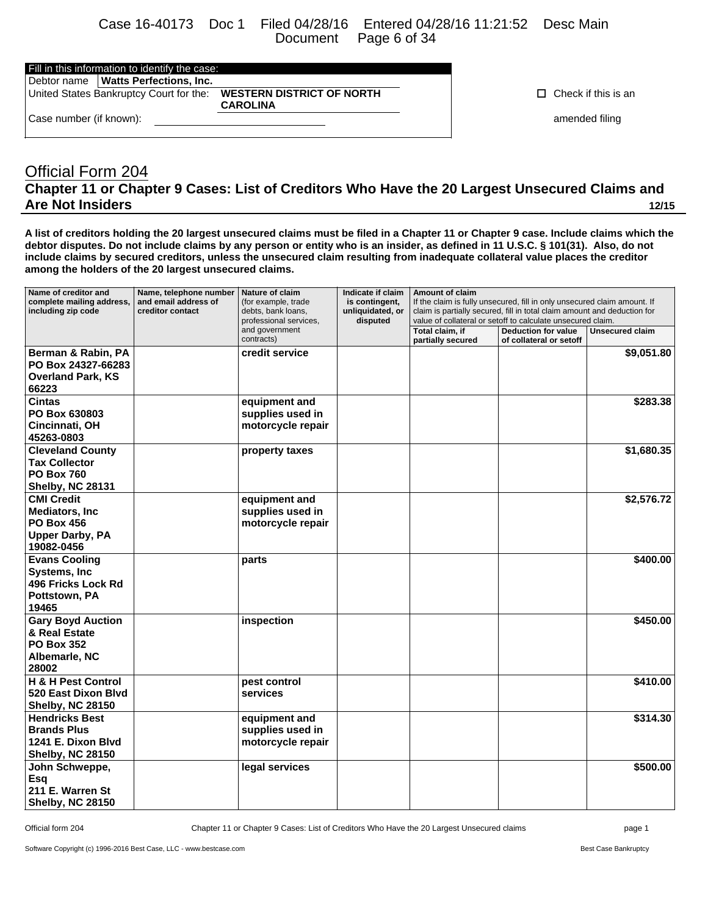Case 16-40173 Doc 1 Filed 04/28/16 Entered 04/28/16 11:21:52 Desc Main Page 6 of 34

**WESTERN DISTRICT OF NORTH** 

**CAROLINA**

Fill in this information to identify the case:

| Debtor name   Watts Perfections, Inc.   |
|-----------------------------------------|
| United States Bankruptcy Court for the: |

Case number (if known): **amended filing**  $\blacksquare$ 

 $\Box$  Check if this is an

# Official Form 204 **Chapter 11 or Chapter 9 Cases: List of Creditors Who Have the 20 Largest Unsecured Claims and Are Not Insiders 12/15**

**A list of creditors holding the 20 largest unsecured claims must be filed in a Chapter 11 or Chapter 9 case. Include claims which the debtor disputes. Do not include claims by any person or entity who is an insider, as defined in 11 U.S.C. § 101(31). Also, do not include claims by secured creditors, unless the unsecured claim resulting from inadequate collateral value places the creditor among the holders of the 20 largest unsecured claims.**

| Name of creditor and<br>complete mailing address,<br>including zip code                                  | Name, telephone number<br>and email address of<br>creditor contact | Nature of claim<br>(for example, trade<br>debts, bank loans,<br>professional services,<br>and government<br>contracts) | Indicate if claim<br>is contingent,<br>unliquidated, or<br>disputed | Amount of claim<br>If the claim is fully unsecured, fill in only unsecured claim amount. If<br>claim is partially secured, fill in total claim amount and deduction for<br>value of collateral or setoff to calculate unsecured claim.<br>Total claim, if<br><b>Deduction for value</b><br>Unsecured claim |                         |            |
|----------------------------------------------------------------------------------------------------------|--------------------------------------------------------------------|------------------------------------------------------------------------------------------------------------------------|---------------------------------------------------------------------|------------------------------------------------------------------------------------------------------------------------------------------------------------------------------------------------------------------------------------------------------------------------------------------------------------|-------------------------|------------|
| Berman & Rabin, PA<br>PO Box 24327-66283<br><b>Overland Park, KS</b><br>66223                            |                                                                    | credit service                                                                                                         |                                                                     | partially secured                                                                                                                                                                                                                                                                                          | of collateral or setoff | \$9,051.80 |
| <b>Cintas</b><br>PO Box 630803<br>Cincinnati, OH<br>45263-0803                                           |                                                                    | equipment and<br>supplies used in<br>motorcycle repair                                                                 |                                                                     |                                                                                                                                                                                                                                                                                                            |                         | \$283.38   |
| <b>Cleveland County</b><br><b>Tax Collector</b><br><b>PO Box 760</b><br><b>Shelby, NC 28131</b>          |                                                                    | property taxes                                                                                                         |                                                                     |                                                                                                                                                                                                                                                                                                            |                         | \$1,680.35 |
| <b>CMI Credit</b><br><b>Mediators, Inc.</b><br><b>PO Box 456</b><br><b>Upper Darby, PA</b><br>19082-0456 |                                                                    | equipment and<br>supplies used in<br>motorcycle repair                                                                 |                                                                     |                                                                                                                                                                                                                                                                                                            |                         | \$2,576.72 |
| <b>Evans Cooling</b><br>Systems, Inc.<br>496 Fricks Lock Rd<br>Pottstown, PA<br>19465                    |                                                                    | parts                                                                                                                  |                                                                     |                                                                                                                                                                                                                                                                                                            |                         | \$400.00   |
| <b>Gary Boyd Auction</b><br>& Real Estate<br><b>PO Box 352</b><br>Albemarle, NC<br>28002                 |                                                                    | inspection                                                                                                             |                                                                     |                                                                                                                                                                                                                                                                                                            |                         | \$450.00   |
| H & H Pest Control<br>520 East Dixon Blyd<br><b>Shelby, NC 28150</b>                                     |                                                                    | pest control<br>services                                                                                               |                                                                     |                                                                                                                                                                                                                                                                                                            |                         | \$410.00   |
| <b>Hendricks Best</b><br><b>Brands Plus</b><br>1241 E. Dixon Blvd<br><b>Shelby, NC 28150</b>             |                                                                    | equipment and<br>supplies used in<br>motorcycle repair                                                                 |                                                                     |                                                                                                                                                                                                                                                                                                            |                         | \$314.30   |
| John Schweppe,<br>Esq<br>211 E. Warren St<br><b>Shelby, NC 28150</b>                                     |                                                                    | legal services                                                                                                         |                                                                     |                                                                                                                                                                                                                                                                                                            |                         | \$500.00   |

Official form 204 Chapter 11 or Chapter 9 Cases: List of Creditors Who Have the 20 Largest Unsecured claims page 1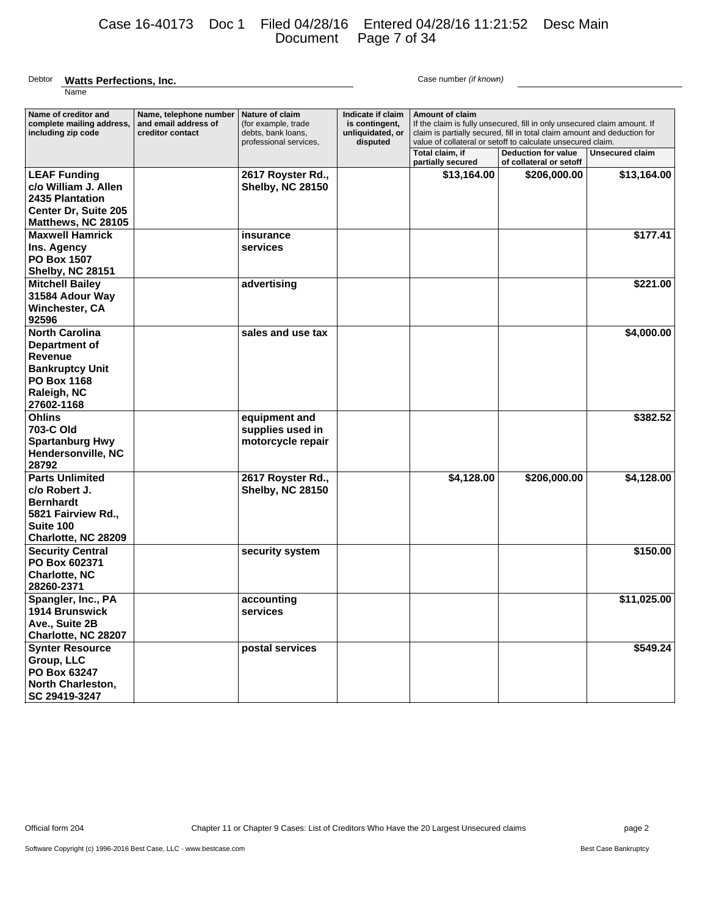# Case 16-40173 Doc 1 Filed 04/28/16 Entered 04/28/16 11:21:52 Desc Main Document Page 7 of 34

#### Debtor **Watts Perfections, Inc. Case number (if known)** Case number (if known) Name

| Name of creditor and                                                                                                           | Name, telephone number                   | Nature of claim                                                     | Indicate if claim                              | <b>Amount of claim</b>                                                                                                                                                                                              |                                                       |                        |
|--------------------------------------------------------------------------------------------------------------------------------|------------------------------------------|---------------------------------------------------------------------|------------------------------------------------|---------------------------------------------------------------------------------------------------------------------------------------------------------------------------------------------------------------------|-------------------------------------------------------|------------------------|
| complete mailing address,<br>including zip code                                                                                | and email address of<br>creditor contact | (for example, trade<br>debts, bank loans,<br>professional services, | is contingent,<br>unliquidated, or<br>disputed | If the claim is fully unsecured, fill in only unsecured claim amount. If<br>claim is partially secured, fill in total claim amount and deduction for<br>value of collateral or setoff to calculate unsecured claim. |                                                       |                        |
|                                                                                                                                |                                          |                                                                     |                                                | Total claim, if<br>partially secured                                                                                                                                                                                | <b>Deduction for value</b><br>of collateral or setoff | <b>Unsecured claim</b> |
| <b>LEAF Funding</b><br>c/o William J. Allen<br>2435 Plantation<br>Center Dr, Suite 205<br>Matthews, NC 28105                   |                                          | 2617 Royster Rd.,<br><b>Shelby, NC 28150</b>                        |                                                | \$13,164.00                                                                                                                                                                                                         | \$206,000.00                                          | \$13,164.00            |
| <b>Maxwell Hamrick</b><br>Ins. Agency<br><b>PO Box 1507</b><br><b>Shelby, NC 28151</b>                                         |                                          | insurance<br>services                                               |                                                |                                                                                                                                                                                                                     |                                                       | \$177.41               |
| <b>Mitchell Bailey</b><br>31584 Adour Way<br>Winchester, CA<br>92596                                                           |                                          | advertising                                                         |                                                |                                                                                                                                                                                                                     |                                                       | \$221.00               |
| <b>North Carolina</b><br>Department of<br><b>Revenue</b><br><b>Bankruptcy Unit</b><br>PO Box 1168<br>Raleigh, NC<br>27602-1168 |                                          | sales and use tax                                                   |                                                |                                                                                                                                                                                                                     |                                                       | \$4,000.00             |
| <b>Ohlins</b><br>703-C Old<br><b>Spartanburg Hwy</b><br>Hendersonville, NC<br>28792                                            |                                          | equipment and<br>supplies used in<br>motorcycle repair              |                                                |                                                                                                                                                                                                                     |                                                       | \$382.52               |
| <b>Parts Unlimited</b><br>c/o Robert J.<br><b>Bernhardt</b><br>5821 Fairview Rd.,<br>Suite 100<br>Charlotte, NC 28209          |                                          | 2617 Royster Rd.,<br><b>Shelby, NC 28150</b>                        |                                                | \$4,128.00                                                                                                                                                                                                          | \$206,000.00                                          | \$4,128.00             |
| <b>Security Central</b><br>PO Box 602371<br><b>Charlotte, NC</b><br>28260-2371                                                 |                                          | security system                                                     |                                                |                                                                                                                                                                                                                     |                                                       | \$150.00               |
| Spangler, Inc., PA<br><b>1914 Brunswick</b><br>Ave., Suite 2B<br>Charlotte, NC 28207                                           |                                          | accounting<br>services                                              |                                                |                                                                                                                                                                                                                     |                                                       | \$11,025.00            |
| <b>Synter Resource</b><br>Group, LLC<br>PO Box 63247<br><b>North Charleston,</b><br>SC 29419-3247                              |                                          | postal services                                                     |                                                |                                                                                                                                                                                                                     |                                                       | \$549.24               |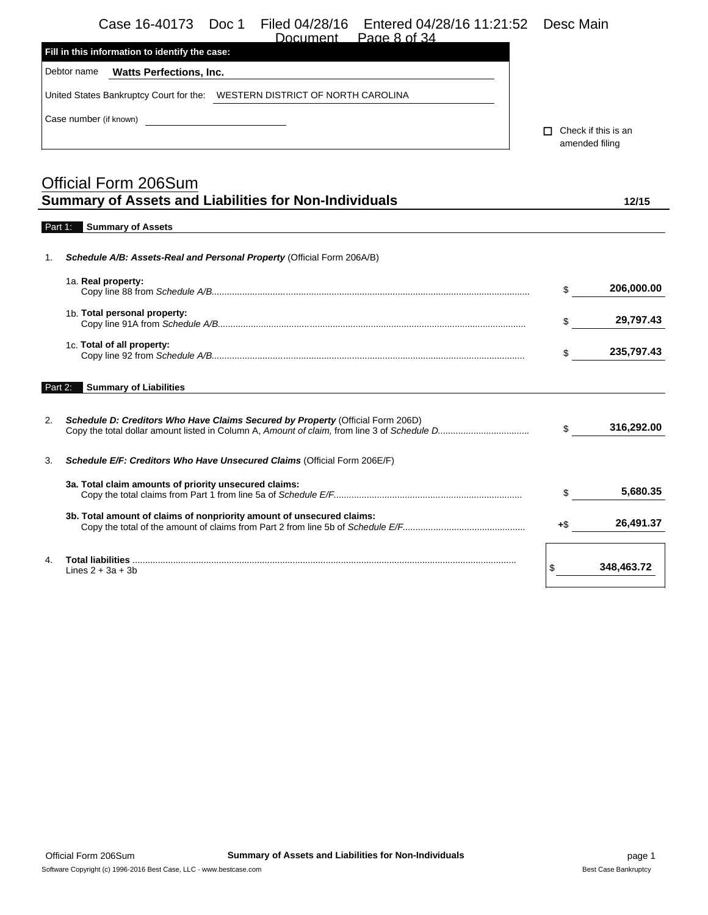|  | Case 16-40173  Doc 1  Filed 04/28/16  Entered 04/28/16  11:21:52  Desc Main |  |
|--|-----------------------------------------------------------------------------|--|
|  |                                                                             |  |

| Page 8 of 34<br>Document                                                      |                                              |
|-------------------------------------------------------------------------------|----------------------------------------------|
| Fill in this information to identify the case:                                |                                              |
| Debtor name<br><b>Watts Perfections, Inc.</b>                                 |                                              |
| WESTERN DISTRICT OF NORTH CAROLINA<br>United States Bankruptcy Court for the: |                                              |
| Case number (if known)                                                        | $\Box$ Check if this is an<br>amended filing |
|                                                                               |                                              |

|                | <b>Official Form 206Sum</b><br><b>Summary of Assets and Liabilities for Non-Individuals</b> |     | 12/15      |
|----------------|---------------------------------------------------------------------------------------------|-----|------------|
| Part 1:        | <b>Summary of Assets</b>                                                                    |     |            |
| 1.             | <b>Schedule A/B: Assets-Real and Personal Property (Official Form 206A/B)</b>               |     |            |
|                | 1a. Real property:                                                                          | \$  | 206,000.00 |
|                | 1b. Total personal property:                                                                | \$  | 29,797.43  |
|                | 1c. Total of all property:                                                                  | \$  | 235,797.43 |
| Part 2:        | <b>Summary of Liabilities</b>                                                               |     |            |
| 2.             | Schedule D: Creditors Who Have Claims Secured by Property (Official Form 206D)              | \$  | 316,292.00 |
| 3.             | Schedule E/F: Creditors Who Have Unsecured Claims (Official Form 206E/F)                    |     |            |
|                | 3a. Total claim amounts of priority unsecured claims:                                       | \$  | 5,680.35   |
|                | 3b. Total amount of claims of nonpriority amount of unsecured claims:                       | +\$ | 26,491.37  |
| 4 <sup>1</sup> | Total liabilities<br>Lines $2 + 3a + 3b$                                                    |     | 348,463.72 |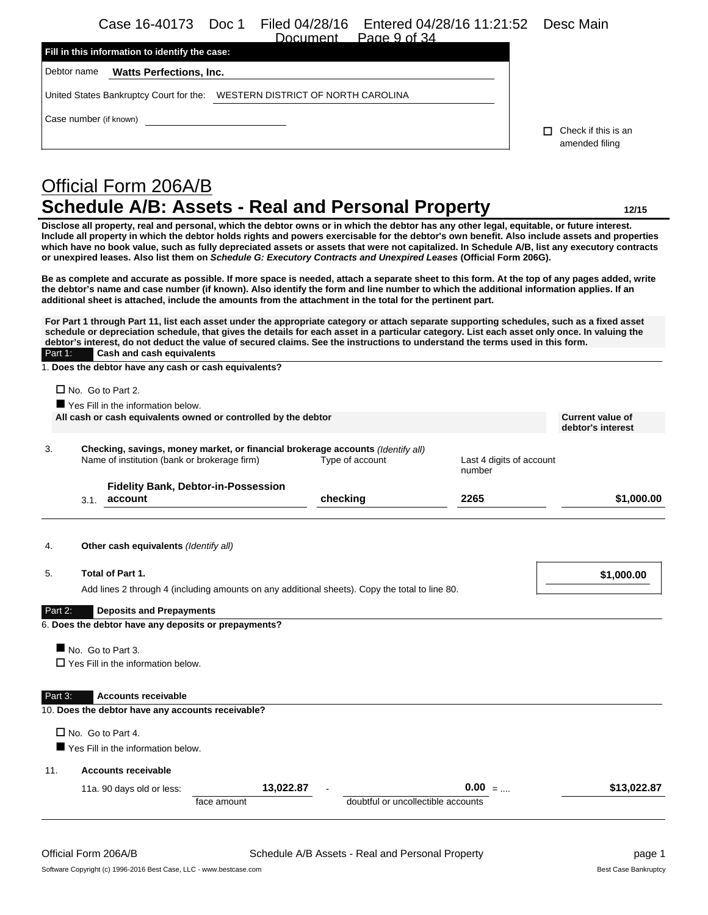Case 16-40173 Doc 1 Filed 04/28/16 Entered 04/28/16 11:21:52 Desc Main Dogs 0 of 24

| ,,,,,,,,,,,,,,,<br>F GUE 9 UL 04<br>Fill in this information to identify the case: |                                             |
|------------------------------------------------------------------------------------|---------------------------------------------|
| Debtor name<br><b>Watts Perfections, Inc.</b>                                      |                                             |
| WESTERN DISTRICT OF NORTH CAROLINA<br>United States Bankruptcy Court for the:      |                                             |
| Case number (if known)                                                             | Check if this is an<br>п.<br>amended filing |

# Official Form 206A/B **Schedule A/B: Assets - Real and Personal Property 12/15**

**Disclose all property, real and personal, which the debtor owns or in which the debtor has any other legal, equitable, or future interest. Include all property in which the debtor holds rights and powers exercisable for the debtor's own benefit. Also include assets and properties which have no book value, such as fully depreciated assets or assets that were not capitalized. In Schedule A/B, list any executory contracts or unexpired leases. Also list them on** *Schedule G: Executory Contracts and Unexpired Leases* **(Official Form 206G).**

**Be as complete and accurate as possible. If more space is needed, attach a separate sheet to this form. At the top of any pages added, write the debtor's name and case number (if known). Also identify the form and line number to which the additional information applies. If an additional sheet is attached, include the amounts from the attachment in the total for the pertinent part.**

**For Part 1 through Part 11, list each asset under the appropriate category or attach separate supporting schedules, such as a fixed asset schedule or depreciation schedule, that gives the details for each asset in a particular category. List each asset only once. In valuing the debtor's interest, do not deduct the value of secured claims. See the instructions to understand the terms used in this form.** Part 1: **Cash and cash equivalents**

1. **Does the debtor have any cash or cash equivalents?**

 $\Box$  No. Go to Part 2.

|                | All cash or cash equivalents owned or controlled by the debtor                                                                  |                 |                                    | <b>Current value of</b><br>debtor's interest |
|----------------|---------------------------------------------------------------------------------------------------------------------------------|-----------------|------------------------------------|----------------------------------------------|
| 3.             | Checking, savings, money market, or financial brokerage accounts (Identify all)<br>Name of institution (bank or brokerage firm) | Type of account | Last 4 digits of account<br>number |                                              |
|                | <b>Fidelity Bank, Debtor-in-Possession</b><br>account<br>3.1.                                                                   | checking        | 2265                               | \$1,000.00                                   |
| 4.             | Other cash equivalents (Identify all)                                                                                           |                 |                                    |                                              |
| 5.             | Total of Part 1.                                                                                                                |                 |                                    | \$1,000.00                                   |
|                | Add lines 2 through 4 (including amounts on any additional sheets). Copy the total to line 80.                                  |                 |                                    |                                              |
| Part 2:        | <b>Deposits and Prepayments</b>                                                                                                 |                 |                                    |                                              |
|                | 6. Does the debtor have any deposits or prepayments?                                                                            |                 |                                    |                                              |
|                | No. Go to Part 3.                                                                                                               |                 |                                    |                                              |
|                | $\Box$ Yes Fill in the information below.                                                                                       |                 |                                    |                                              |
|                | <b>Accounts receivable</b>                                                                                                      |                 |                                    |                                              |
|                | 10. Does the debtor have any accounts receivable?                                                                               |                 |                                    |                                              |
|                |                                                                                                                                 |                 |                                    |                                              |
|                | $\Box$ No. Go to Part 4.<br>Yes Fill in the information below.                                                                  |                 |                                    |                                              |
| Part 3:<br>11. | <b>Accounts receivable</b>                                                                                                      |                 |                                    |                                              |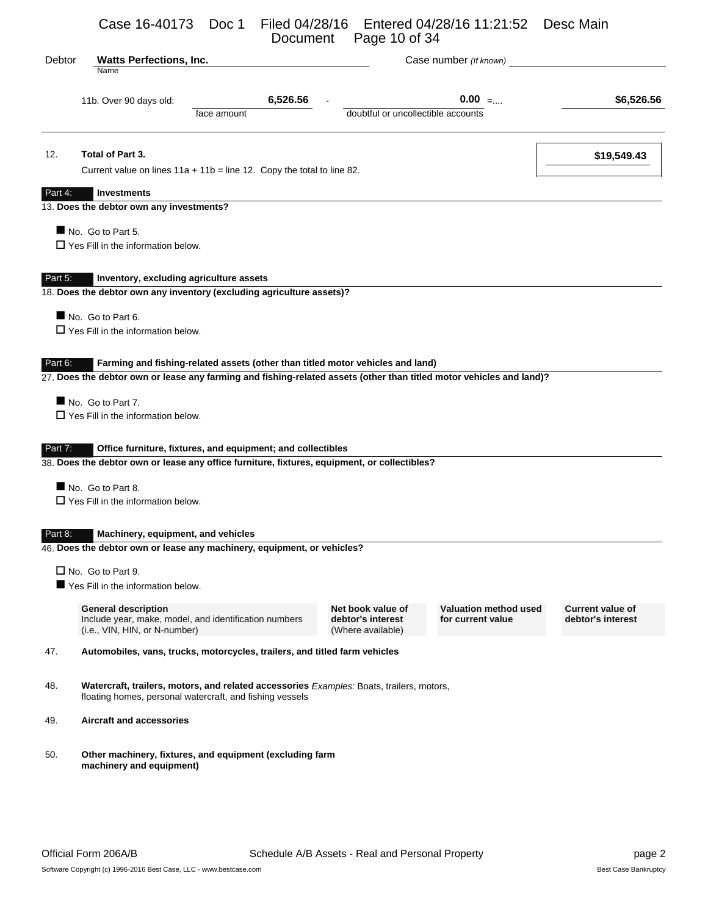Case 16-40173 Doc 1 Filed 04/28/16 Entered 04/28/16 11:21:52 Desc Main Document Page 10 of 34

| Debtor  | <b>Watts Perfections, Inc.</b><br>Case number (If known)<br>Name |                                                                                                                                                             |                                                             |                                                   |                                              |  |
|---------|------------------------------------------------------------------|-------------------------------------------------------------------------------------------------------------------------------------------------------------|-------------------------------------------------------------|---------------------------------------------------|----------------------------------------------|--|
|         | 11b. Over 90 days old:                                           | 6,526.56                                                                                                                                                    |                                                             | $0.00$ =                                          | \$6,526.56                                   |  |
|         |                                                                  | face amount                                                                                                                                                 | doubtful or uncollectible accounts                          |                                                   |                                              |  |
| 12.     | Total of Part 3.                                                 |                                                                                                                                                             |                                                             |                                                   | \$19,549.43                                  |  |
|         |                                                                  | Current value on lines $11a + 11b =$ line 12. Copy the total to line 82.                                                                                    |                                                             |                                                   |                                              |  |
| Part 4: | <b>Investments</b>                                               |                                                                                                                                                             |                                                             |                                                   |                                              |  |
|         | 13. Does the debtor own any investments?                         |                                                                                                                                                             |                                                             |                                                   |                                              |  |
|         | No. Go to Part 5.                                                |                                                                                                                                                             |                                                             |                                                   |                                              |  |
|         | $\Box$ Yes Fill in the information below.                        |                                                                                                                                                             |                                                             |                                                   |                                              |  |
|         |                                                                  |                                                                                                                                                             |                                                             |                                                   |                                              |  |
| Part 5: | Inventory, excluding agriculture assets                          |                                                                                                                                                             |                                                             |                                                   |                                              |  |
|         |                                                                  | 18. Does the debtor own any inventory (excluding agriculture assets)?                                                                                       |                                                             |                                                   |                                              |  |
|         | No. Go to Part 6.                                                |                                                                                                                                                             |                                                             |                                                   |                                              |  |
|         | $\Box$ Yes Fill in the information below.                        |                                                                                                                                                             |                                                             |                                                   |                                              |  |
|         | No. Go to Part 7.<br>$\Box$ Yes Fill in the information below.   | 27. Does the debtor own or lease any farming and fishing-related assets (other than titled motor vehicles and land)?                                        |                                                             |                                                   |                                              |  |
| Part 7: |                                                                  | Office furniture, fixtures, and equipment; and collectibles<br>38. Does the debtor own or lease any office furniture, fixtures, equipment, or collectibles? |                                                             |                                                   |                                              |  |
|         | No. Go to Part 8.                                                |                                                                                                                                                             |                                                             |                                                   |                                              |  |
|         | $\Box$ Yes Fill in the information below.                        |                                                                                                                                                             |                                                             |                                                   |                                              |  |
|         |                                                                  |                                                                                                                                                             |                                                             |                                                   |                                              |  |
| Part 8: | Machinery, equipment, and vehicles                               |                                                                                                                                                             |                                                             |                                                   |                                              |  |
|         |                                                                  | 46. Does the debtor own or lease any machinery, equipment, or vehicles?                                                                                     |                                                             |                                                   |                                              |  |
|         | $\Box$ No. Go to Part 9.                                         |                                                                                                                                                             |                                                             |                                                   |                                              |  |
|         | Yes Fill in the information below.                               |                                                                                                                                                             |                                                             |                                                   |                                              |  |
|         | <b>General description</b><br>(i.e., VIN, HIN, or N-number)      | Include year, make, model, and identification numbers                                                                                                       | Net book value of<br>debtor's interest<br>(Where available) | <b>Valuation method used</b><br>for current value | <b>Current value of</b><br>debtor's interest |  |
| 47.     |                                                                  | Automobiles, vans, trucks, motorcycles, trailers, and titled farm vehicles                                                                                  |                                                             |                                                   |                                              |  |
| 48.     |                                                                  | Watercraft, trailers, motors, and related accessories Examples: Boats, trailers, motors,<br>floating homes, personal watercraft, and fishing vessels        |                                                             |                                                   |                                              |  |
| 49.     | <b>Aircraft and accessories</b>                                  |                                                                                                                                                             |                                                             |                                                   |                                              |  |
| 50.     | machinery and equipment)                                         | Other machinery, fixtures, and equipment (excluding farm                                                                                                    |                                                             |                                                   |                                              |  |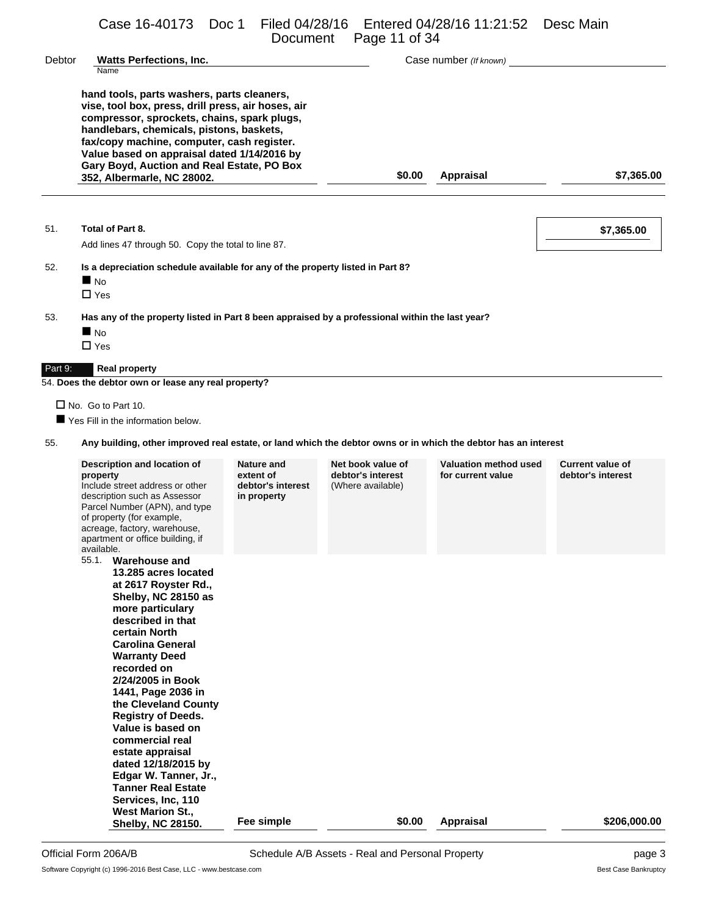Case 16-40173 Doc 1 Filed 04/28/16 Entered 04/28/16 11:21:52 Desc Main

|         |                                                                                                                                                                                                                                                                                                                                                                                                                                                                                                           | Document                                                           | Page 11 of 34                                               |                                            |                                              |
|---------|-----------------------------------------------------------------------------------------------------------------------------------------------------------------------------------------------------------------------------------------------------------------------------------------------------------------------------------------------------------------------------------------------------------------------------------------------------------------------------------------------------------|--------------------------------------------------------------------|-------------------------------------------------------------|--------------------------------------------|----------------------------------------------|
| Debtor  | <b>Watts Perfections, Inc.</b><br>Name                                                                                                                                                                                                                                                                                                                                                                                                                                                                    |                                                                    |                                                             | Case number (If known)                     |                                              |
|         | hand tools, parts washers, parts cleaners,<br>vise, tool box, press, drill press, air hoses, air<br>compressor, sprockets, chains, spark plugs,<br>handlebars, chemicals, pistons, baskets,<br>fax/copy machine, computer, cash register.<br>Value based on appraisal dated 1/14/2016 by<br>Gary Boyd, Auction and Real Estate, PO Box<br>352, Albermarle, NC 28002.                                                                                                                                      |                                                                    | \$0.00                                                      | <b>Appraisal</b>                           | \$7,365.00                                   |
| 51.     | Total of Part 8.<br>Add lines 47 through 50. Copy the total to line 87.                                                                                                                                                                                                                                                                                                                                                                                                                                   |                                                                    |                                                             |                                            | \$7,365.00                                   |
| 52.     | Is a depreciation schedule available for any of the property listed in Part 8?<br>$\blacksquare$ No<br>$\Box$ Yes                                                                                                                                                                                                                                                                                                                                                                                         |                                                                    |                                                             |                                            |                                              |
| 53.     | Has any of the property listed in Part 8 been appraised by a professional within the last year?<br>$\blacksquare$ No<br>$\Box$ Yes                                                                                                                                                                                                                                                                                                                                                                        |                                                                    |                                                             |                                            |                                              |
| Part 9: | <b>Real property</b><br>54. Does the debtor own or lease any real property?                                                                                                                                                                                                                                                                                                                                                                                                                               |                                                                    |                                                             |                                            |                                              |
| 55.     | $\Box$ No. Go to Part 10.<br>Yes Fill in the information below.<br>Any building, other improved real estate, or land which the debtor owns or in which the debtor has an interest                                                                                                                                                                                                                                                                                                                         |                                                                    |                                                             |                                            |                                              |
|         | Description and location of<br>property<br>Include street address or other<br>description such as Assessor<br>Parcel Number (APN), and type<br>of property (for example,<br>acreage, factory, warehouse,<br>apartment or office building, if<br>available.                                                                                                                                                                                                                                                | <b>Nature and</b><br>extent of<br>debtor's interest<br>in property | Net book value of<br>debtor's interest<br>(Where available) | Valuation method used<br>for current value | <b>Current value of</b><br>debtor's interest |
|         | 55.1. Warehouse and<br>13.285 acres located<br>at 2617 Royster Rd.,<br>Shelby, NC 28150 as<br>more particulary<br>described in that<br>certain North<br><b>Carolina General</b><br><b>Warranty Deed</b><br>recorded on<br>2/24/2005 in Book<br>1441, Page 2036 in<br>the Cleveland County<br><b>Registry of Deeds.</b><br>Value is based on<br>commercial real<br>estate appraisal<br>dated 12/18/2015 by<br>Edgar W. Tanner, Jr.,<br><b>Tanner Real Estate</b><br>Services, Inc, 110<br>West Marion St., |                                                                    |                                                             |                                            |                                              |
|         | <b>Shelby, NC 28150.</b>                                                                                                                                                                                                                                                                                                                                                                                                                                                                                  | Fee simple                                                         | \$0.00                                                      | <b>Appraisal</b>                           | \$206,000.00                                 |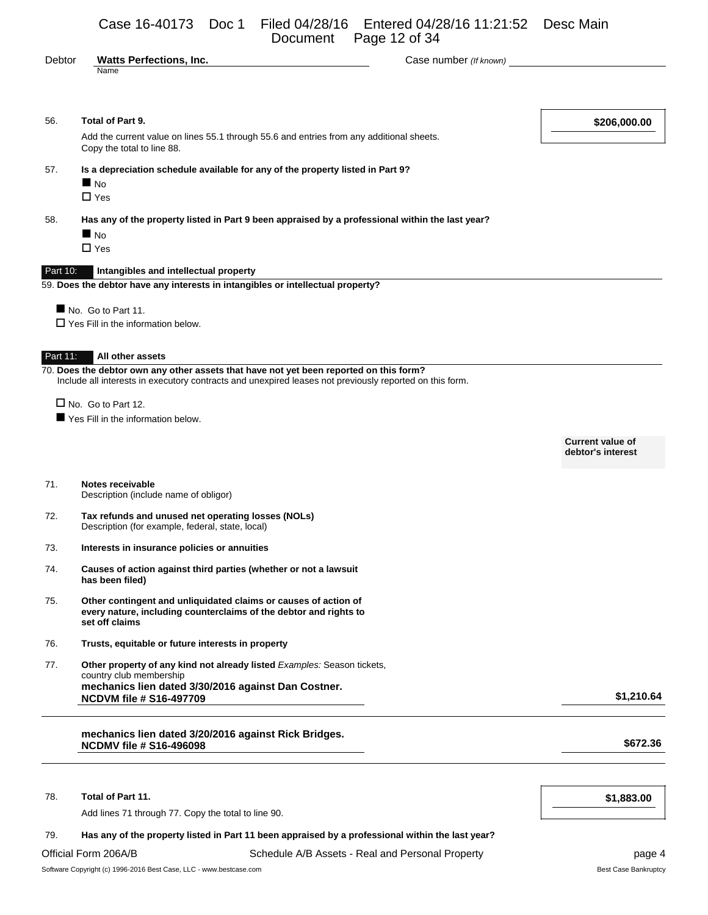|          | Page 12 of 34<br>Document                                                                                                                                                                                       |                                              |  |  |
|----------|-----------------------------------------------------------------------------------------------------------------------------------------------------------------------------------------------------------------|----------------------------------------------|--|--|
| Debtor   | <b>Watts Perfections, Inc.</b><br>Case number (If known)<br>Name                                                                                                                                                |                                              |  |  |
|          |                                                                                                                                                                                                                 |                                              |  |  |
| 56.      | Total of Part 9.                                                                                                                                                                                                | \$206,000.00                                 |  |  |
|          | Add the current value on lines 55.1 through 55.6 and entries from any additional sheets.<br>Copy the total to line 88.                                                                                          |                                              |  |  |
| 57.      | Is a depreciation schedule available for any of the property listed in Part 9?<br>$\blacksquare$ No                                                                                                             |                                              |  |  |
|          | $\square$ Yes                                                                                                                                                                                                   |                                              |  |  |
| 58.      | Has any of the property listed in Part 9 been appraised by a professional within the last year?<br>$\blacksquare$ No                                                                                            |                                              |  |  |
|          | $\Box$ Yes                                                                                                                                                                                                      |                                              |  |  |
| Part 10: | Intangibles and intellectual property<br>59. Does the debtor have any interests in intangibles or intellectual property?                                                                                        |                                              |  |  |
|          | No. Go to Part 11.                                                                                                                                                                                              |                                              |  |  |
|          | $\Box$ Yes Fill in the information below.                                                                                                                                                                       |                                              |  |  |
| Part 11: | All other assets                                                                                                                                                                                                |                                              |  |  |
|          | $\overline{70}$ . Does the debtor own any other assets that have not yet been reported on this form?<br>Include all interests in executory contracts and unexpired leases not previously reported on this form. |                                              |  |  |
|          | $\Box$ No. Go to Part 12.                                                                                                                                                                                       |                                              |  |  |
|          | Yes Fill in the information below.                                                                                                                                                                              |                                              |  |  |
|          |                                                                                                                                                                                                                 | <b>Current value of</b><br>debtor's interest |  |  |
| 71.      | Notes receivable<br>Description (include name of obligor)                                                                                                                                                       |                                              |  |  |
| 72.      | Tax refunds and unused net operating losses (NOLs)<br>Description (for example, federal, state, local)                                                                                                          |                                              |  |  |
| 73.      | Interests in insurance policies or annuities                                                                                                                                                                    |                                              |  |  |
| 74.      | Causes of action against third parties (whether or not a lawsuit<br>has been filed)                                                                                                                             |                                              |  |  |
| 75.      | Other contingent and unliquidated claims or causes of action of<br>every nature, including counterclaims of the debtor and rights to<br>set off claims                                                          |                                              |  |  |
| 76.      | Trusts, equitable or future interests in property                                                                                                                                                               |                                              |  |  |
| 77.      | Other property of any kind not already listed Examples: Season tickets,<br>country club membership                                                                                                              |                                              |  |  |
|          | mechanics lien dated 3/30/2016 against Dan Costner.<br><b>NCDVM file # S16-497709</b>                                                                                                                           | \$1,210.64                                   |  |  |
|          | mechanics lien dated 3/20/2016 against Rick Bridges.<br><b>NCDMV file # S16-496098</b>                                                                                                                          | \$672.36                                     |  |  |
| 78.      | Total of Part 11.                                                                                                                                                                                               | \$1,883.00                                   |  |  |

Add lines 71 through 77. Copy the total to line 90.

### 79. **Has any of the property listed in Part 11 been appraised by a professional within the last year?**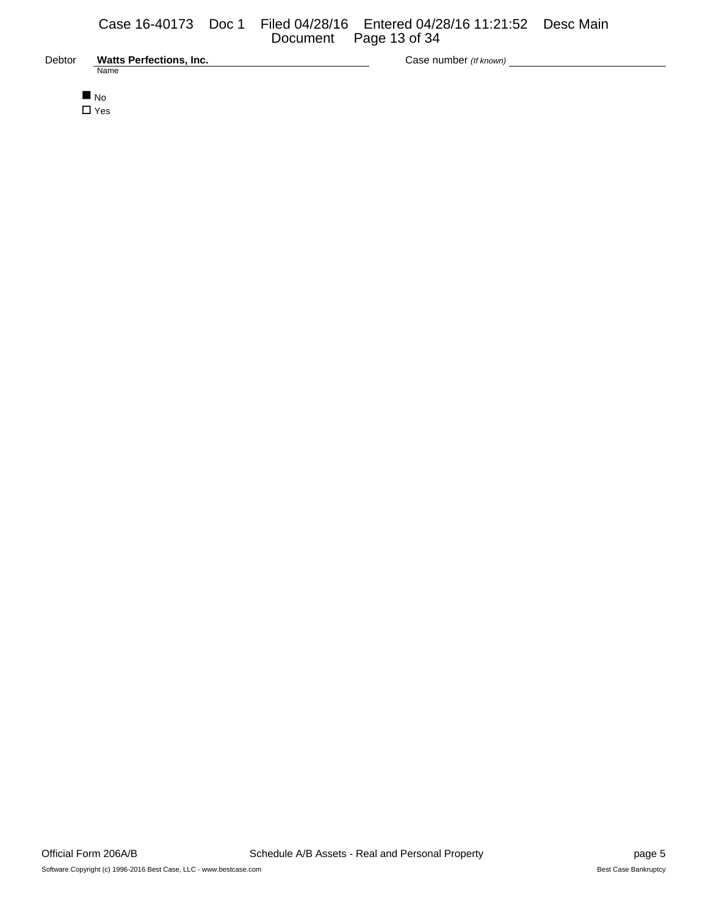| Debtor | <b>Watts Perfections, Inc.</b> |
|--------|--------------------------------|
|        | Name                           |

Debtor **Watts Perfections, Inc.** Case number *(If known)*

 $N<sub>O</sub>$ □ Yes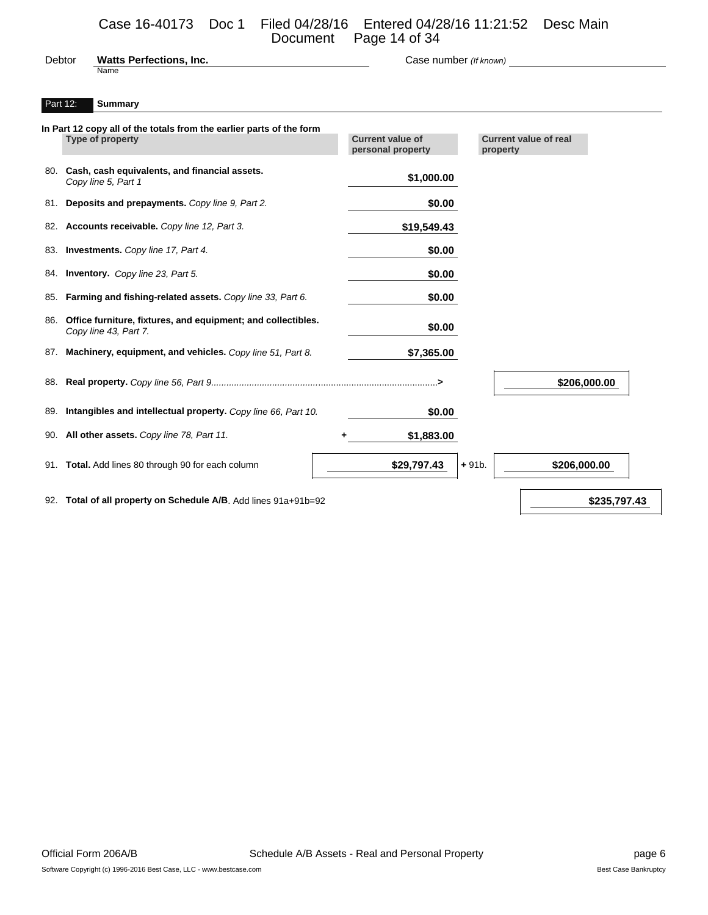# Case 16-40173 Doc 1 Filed 04/28/16 Entered 04/28/16 11:21:52 Desc Main

|        |                                | Document Page 14 of 34 |  |
|--------|--------------------------------|------------------------|--|
| Debtor | <b>Watts Perfections, Inc.</b> | Case number (If known) |  |

# Part 12: **Summary**

Name

| In Part 12 copy all of the totals from the earlier parts of the form<br><b>Type of property</b> | <b>Current value of</b><br>personal property | <b>Current value of real</b><br>property |
|-------------------------------------------------------------------------------------------------|----------------------------------------------|------------------------------------------|
| 80. Cash, cash equivalents, and financial assets.<br>Copy line 5, Part 1                        | \$1,000.00                                   |                                          |
| 81. Deposits and prepayments. Copy line 9, Part 2.                                              | \$0.00                                       |                                          |
| 82. Accounts receivable. Copy line 12, Part 3.                                                  | \$19,549.43                                  |                                          |
| 83. Investments. Copy line 17, Part 4.                                                          | \$0.00                                       |                                          |
| 84. Inventory. Copy line 23, Part 5.                                                            | \$0.00                                       |                                          |
| 85. Farming and fishing-related assets. Copy line 33, Part 6.                                   | \$0.00                                       |                                          |
| 86. Office furniture, fixtures, and equipment; and collectibles.<br>Copy line 43, Part 7.       | \$0.00                                       |                                          |
| 87. Machinery, equipment, and vehicles. Copy line 51, Part 8.                                   | \$7,365.00                                   |                                          |
|                                                                                                 |                                              | \$206,000.00                             |
| 89. Intangibles and intellectual property. Copy line 66, Part 10.                               | \$0.00                                       |                                          |
| 90. All other assets. Copy line 78, Part 11.                                                    | \$1,883.00                                   |                                          |
| 91. Total. Add lines 80 through 90 for each column                                              | \$29,797.43                                  | \$206,000.00<br>$+91b.$                  |
| 92. Total of all property on Schedule A/B. Add lines 91a+91b=92                                 |                                              | \$235,797.43                             |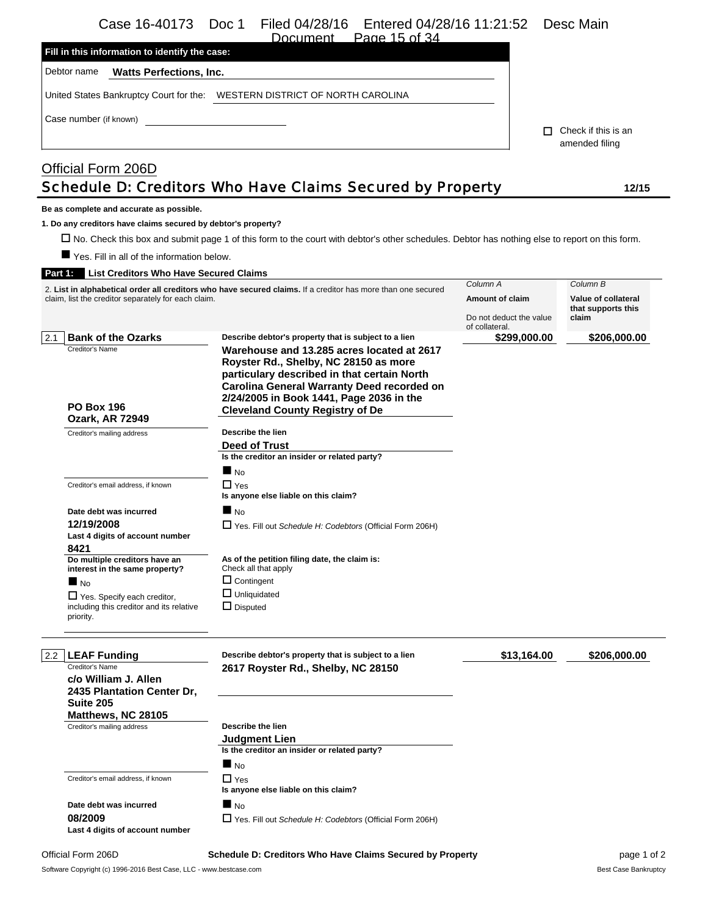# Case 16-40173 Doc 1 Filed 04/28/16 Entered 04/28/16 11:21:52 Desc Main<br>Document Page 15 of 34

Page 15 of 34

| Fill in this information to identify the case: |                                    |                                            |
|------------------------------------------------|------------------------------------|--------------------------------------------|
| Debtor name<br><b>Watts Perfections, Inc.</b>  |                                    |                                            |
| United States Bankruptcy Court for the:        | WESTERN DISTRICT OF NORTH CAROLINA |                                            |
| Case number (if known)                         |                                    | Check if this is an<br>п<br>amended filing |
| Official Form 206D                             |                                    |                                            |

# Schedule D: Creditors Who Have Claims Secured by Property **12/15**

#### **Be as complete and accurate as possible.**

**1. Do any creditors have claims secured by debtor's property?**

No. Check this box and submit page 1 of this form to the court with debtor's other schedules. Debtor has nothing else to report on this form.

Yes. Fill in all of the information below.

### **Part 1: List Creditors Who Have Secured Claims**

|                                                                                             | 2. List in alphabetical order all creditors who have secured claims. If a creditor has more than one secured                                                                                                                                                           |                                                              | Column B                                           |  |
|---------------------------------------------------------------------------------------------|------------------------------------------------------------------------------------------------------------------------------------------------------------------------------------------------------------------------------------------------------------------------|--------------------------------------------------------------|----------------------------------------------------|--|
| claim, list the creditor separately for each claim.                                         |                                                                                                                                                                                                                                                                        | Amount of claim<br>Do not deduct the value<br>of collateral. | Value of collateral<br>that supports this<br>claim |  |
| <b>Bank of the Ozarks</b><br>2.1                                                            | Describe debtor's property that is subject to a lien                                                                                                                                                                                                                   | \$299,000.00                                                 | \$206,000.00                                       |  |
| Creditor's Name<br><b>PO Box 196</b><br><b>Ozark, AR 72949</b>                              | Warehouse and 13.285 acres located at 2617<br>Royster Rd., Shelby, NC 28150 as more<br>particulary described in that certain North<br>Carolina General Warranty Deed recorded on<br>2/24/2005 in Book 1441, Page 2036 in the<br><b>Cleveland County Registry of De</b> |                                                              |                                                    |  |
|                                                                                             | Describe the lien                                                                                                                                                                                                                                                      |                                                              |                                                    |  |
| Creditor's mailing address                                                                  |                                                                                                                                                                                                                                                                        |                                                              |                                                    |  |
|                                                                                             | Deed of Trust<br>Is the creditor an insider or related party?                                                                                                                                                                                                          |                                                              |                                                    |  |
|                                                                                             | $\blacksquare$ No                                                                                                                                                                                                                                                      |                                                              |                                                    |  |
| Creditor's email address, if known                                                          | $\Box$ Yes<br>Is anyone else liable on this claim?                                                                                                                                                                                                                     |                                                              |                                                    |  |
| Date debt was incurred                                                                      | $\blacksquare$ No                                                                                                                                                                                                                                                      |                                                              |                                                    |  |
| 12/19/2008                                                                                  | $\Box$ Yes. Fill out Schedule H: Codebtors (Official Form 206H)                                                                                                                                                                                                        |                                                              |                                                    |  |
| Last 4 digits of account number                                                             |                                                                                                                                                                                                                                                                        |                                                              |                                                    |  |
| 8421                                                                                        |                                                                                                                                                                                                                                                                        |                                                              |                                                    |  |
| Do multiple creditors have an<br>interest in the same property?                             | As of the petition filing date, the claim is:<br>Check all that apply                                                                                                                                                                                                  |                                                              |                                                    |  |
| $\blacksquare$ No                                                                           | $\Box$ Contingent                                                                                                                                                                                                                                                      |                                                              |                                                    |  |
| $\Box$ Yes. Specify each creditor,<br>including this creditor and its relative<br>priority. | $\Box$ Unliquidated<br>$\Box$ Disputed                                                                                                                                                                                                                                 |                                                              |                                                    |  |
| <b>LEAF Funding</b><br>2.2                                                                  | Describe debtor's property that is subject to a lien                                                                                                                                                                                                                   | \$13,164.00                                                  | \$206,000.00                                       |  |
| Creditor's Name<br>c/o William J. Allen<br>2435 Plantation Center Dr,                       | 2617 Royster Rd., Shelby, NC 28150                                                                                                                                                                                                                                     |                                                              |                                                    |  |
| Suite 205                                                                                   |                                                                                                                                                                                                                                                                        |                                                              |                                                    |  |
| Matthews, NC 28105                                                                          |                                                                                                                                                                                                                                                                        |                                                              |                                                    |  |
| Creditor's mailing address                                                                  | Describe the lien                                                                                                                                                                                                                                                      |                                                              |                                                    |  |
|                                                                                             | <b>Judgment Lien</b><br>Is the creditor an insider or related party?                                                                                                                                                                                                   |                                                              |                                                    |  |
|                                                                                             | $\blacksquare$ No                                                                                                                                                                                                                                                      |                                                              |                                                    |  |
| Creditor's email address, if known                                                          | $\Box$ Yes<br>Is anyone else liable on this claim?                                                                                                                                                                                                                     |                                                              |                                                    |  |
| Date debt was incurred                                                                      | $\blacksquare$ No                                                                                                                                                                                                                                                      |                                                              |                                                    |  |
| 08/2009                                                                                     |                                                                                                                                                                                                                                                                        |                                                              |                                                    |  |
| Last 4 digits of account number                                                             | $\Box$ Yes. Fill out Schedule H: Codebtors (Official Form 206H)                                                                                                                                                                                                        |                                                              |                                                    |  |
|                                                                                             |                                                                                                                                                                                                                                                                        |                                                              |                                                    |  |

#### Official Form 206D **Schedule D: Creditors Who Have Claims Secured by Property** page 1 of 2

Software Copyright (c) 1996-2016 Best Case, LLC - www.bestcase.com **Best Case Bankruptcy** Best Case Bankruptcy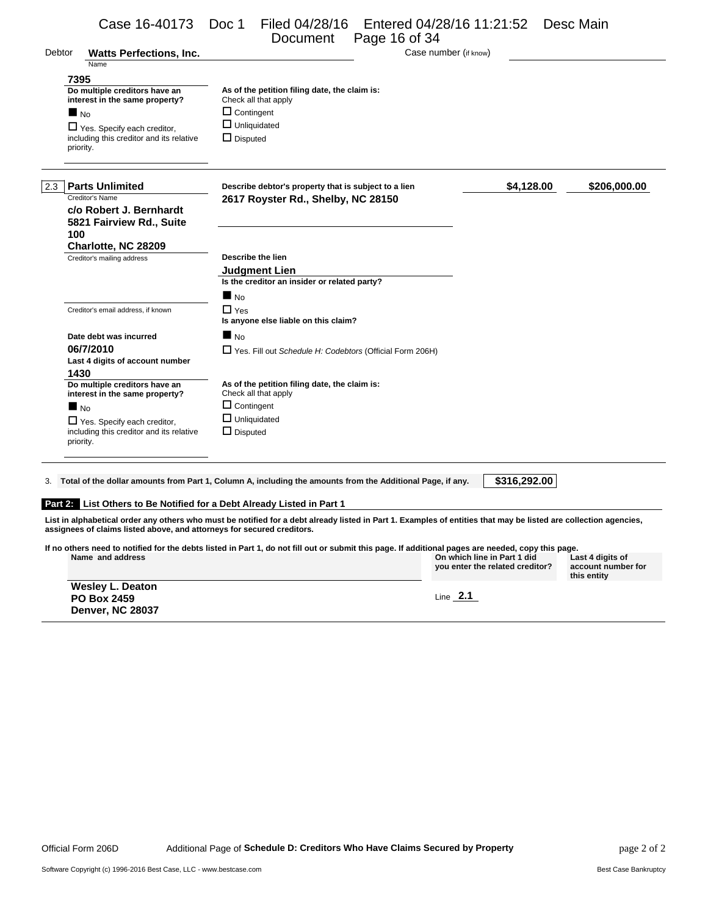|        | Case 16-40173                                                          | Entered 04/28/16 11:21:52<br>Doc 1<br>Filed 04/28/16<br>Page 16 of 34<br>Document                                                                                | Desc Main                  |
|--------|------------------------------------------------------------------------|------------------------------------------------------------------------------------------------------------------------------------------------------------------|----------------------------|
| Debtor | <b>Watts Perfections, Inc.</b>                                         | Case number (if know)                                                                                                                                            |                            |
|        | Name                                                                   |                                                                                                                                                                  |                            |
|        | 7395                                                                   |                                                                                                                                                                  |                            |
|        | Do multiple creditors have an                                          | As of the petition filing date, the claim is:                                                                                                                    |                            |
|        | interest in the same property?                                         | Check all that apply                                                                                                                                             |                            |
|        | $\blacksquare$ No                                                      | $\Box$ Contingent                                                                                                                                                |                            |
|        | □ Yes. Specify each creditor,                                          | $\Box$ Unliquidated                                                                                                                                              |                            |
|        | including this creditor and its relative<br>priority.                  | $\Box$ Disputed                                                                                                                                                  |                            |
|        | 2.3 Parts Unlimited                                                    | Describe debtor's property that is subject to a lien                                                                                                             | \$4,128.00<br>\$206,000.00 |
|        | Creditor's Name                                                        | 2617 Royster Rd., Shelby, NC 28150                                                                                                                               |                            |
|        | c/o Robert J. Bernhardt                                                |                                                                                                                                                                  |                            |
|        | 5821 Fairview Rd., Suite                                               |                                                                                                                                                                  |                            |
|        | 100                                                                    |                                                                                                                                                                  |                            |
|        | Charlotte, NC 28209<br>Creditor's mailing address                      | Describe the lien                                                                                                                                                |                            |
|        |                                                                        | <b>Judgment Lien</b>                                                                                                                                             |                            |
|        |                                                                        | Is the creditor an insider or related party?                                                                                                                     |                            |
|        |                                                                        | $\blacksquare$ No                                                                                                                                                |                            |
|        | Creditor's email address, if known                                     | $\Box$ Yes                                                                                                                                                       |                            |
|        |                                                                        | Is anyone else liable on this claim?                                                                                                                             |                            |
|        | Date debt was incurred                                                 | $\blacksquare$ No                                                                                                                                                |                            |
|        | 06/7/2010                                                              | $\Box$ Yes. Fill out Schedule H: Codebtors (Official Form 206H)                                                                                                  |                            |
|        | Last 4 digits of account number                                        |                                                                                                                                                                  |                            |
|        | 1430                                                                   |                                                                                                                                                                  |                            |
|        | Do multiple creditors have an<br>interest in the same property?        | As of the petition filing date, the claim is:<br>Check all that apply                                                                                            |                            |
|        | $\blacksquare$ No                                                      | $\Box$ Contingent                                                                                                                                                |                            |
|        | $\Box$ Yes. Specify each creditor,                                     | $\Box$ Unliquidated                                                                                                                                              |                            |
|        | including this creditor and its relative<br>priority.                  | $\Box$ Disputed                                                                                                                                                  |                            |
|        |                                                                        |                                                                                                                                                                  |                            |
| 3.     |                                                                        | Total of the dollar amounts from Part 1, Column A, including the amounts from the Additional Page, if any.                                                       | \$316,292.00               |
|        |                                                                        | Part 2: List Others to Be Notified for a Debt Already Listed in Part 1                                                                                           |                            |
|        |                                                                        |                                                                                                                                                                  |                            |
|        | assignees of claims listed above, and attorneys for secured creditors. | List in alphabetical order any others who must be notified for a debt already listed in Part 1. Examples of entities that may be listed are collection agencies, |                            |
|        |                                                                        | If no others need to notified for the debts listed in Part 1, do not fill out or submit this page. If additional pages are needed, copy this page.               |                            |

**Name and address On which line in Part 1 did Last 4 digits of**

**you enter the related creditor?**

Line **2.1** 

| <b>Wesley L. Deaton</b> |  |
|-------------------------|--|
| <b>PO Box 2459</b>      |  |
| <b>Denver, NC 28037</b> |  |

**account number for this entity**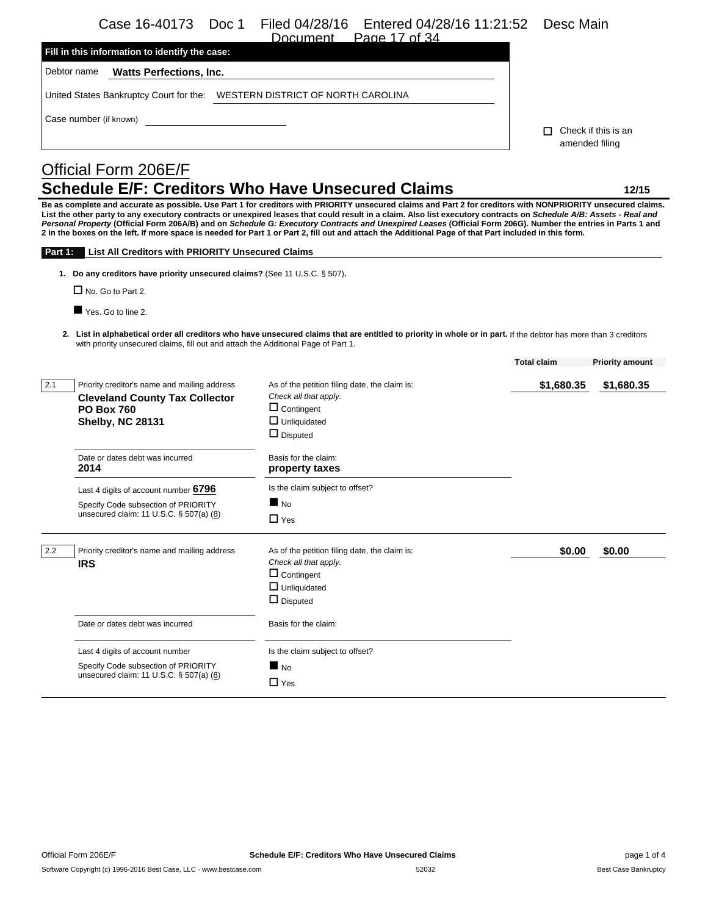Case 16-40173 Doc 1 Filed 04/28/16 Entered 04/28/16 11:21:52 Desc Main

|     | Case 16-40173<br>Doc 1                                                                                 | Filed 04/28/16<br>Entered 04/28/16 11:21:52<br>Document Page 17 of 34                                                                                                                                                                                                                                                                                                                                                                                                                                                                                                                                                                                       | Desc Main            |                        |
|-----|--------------------------------------------------------------------------------------------------------|-------------------------------------------------------------------------------------------------------------------------------------------------------------------------------------------------------------------------------------------------------------------------------------------------------------------------------------------------------------------------------------------------------------------------------------------------------------------------------------------------------------------------------------------------------------------------------------------------------------------------------------------------------------|----------------------|------------------------|
|     | Fill in this information to identify the case:                                                         |                                                                                                                                                                                                                                                                                                                                                                                                                                                                                                                                                                                                                                                             |                      |                        |
|     | Debtor name<br><b>Watts Perfections, Inc.</b>                                                          |                                                                                                                                                                                                                                                                                                                                                                                                                                                                                                                                                                                                                                                             |                      |                        |
|     | United States Bankruptcy Court for the:    NESTERN DISTRICT OF NORTH CAROLINA                          |                                                                                                                                                                                                                                                                                                                                                                                                                                                                                                                                                                                                                                                             |                      |                        |
|     | Case number (if known)                                                                                 |                                                                                                                                                                                                                                                                                                                                                                                                                                                                                                                                                                                                                                                             |                      |                        |
|     |                                                                                                        |                                                                                                                                                                                                                                                                                                                                                                                                                                                                                                                                                                                                                                                             | П.<br>amended filing | Check if this is an    |
|     |                                                                                                        |                                                                                                                                                                                                                                                                                                                                                                                                                                                                                                                                                                                                                                                             |                      |                        |
|     | Official Form 206E/F                                                                                   |                                                                                                                                                                                                                                                                                                                                                                                                                                                                                                                                                                                                                                                             |                      |                        |
|     |                                                                                                        | Schedule E/F: Creditors Who Have Unsecured Claims                                                                                                                                                                                                                                                                                                                                                                                                                                                                                                                                                                                                           |                      | 12/15                  |
|     | <b>Part 1:</b> List All Creditors with PRIORITY Unsecured Claims                                       | Be as complete and accurate as possible. Use Part 1 for creditors with PRIORITY unsecured claims and Part 2 for creditors with NONPRIORITY unsecured claims.<br>List the other party to any executory contracts or unexpired leases that could result in a claim. Also list executory contracts on Schedule A/B: Assets - Real and<br>Personal Property (Official Form 206A/B) and on Schedule G: Executory Contracts and Unexpired Leases (Official Form 206G). Number the entries in Parts 1 and<br>2 in the boxes on the left. If more space is needed for Part 1 or Part 2, fill out and attach the Additional Page of that Part included in this form. |                      |                        |
|     |                                                                                                        |                                                                                                                                                                                                                                                                                                                                                                                                                                                                                                                                                                                                                                                             |                      |                        |
|     | 1. Do any creditors have priority unsecured claims? (See 11 U.S.C. § 507).<br>$\Box$ No. Go to Part 2. |                                                                                                                                                                                                                                                                                                                                                                                                                                                                                                                                                                                                                                                             |                      |                        |
|     |                                                                                                        |                                                                                                                                                                                                                                                                                                                                                                                                                                                                                                                                                                                                                                                             |                      |                        |
|     | Yes. Go to line 2.                                                                                     |                                                                                                                                                                                                                                                                                                                                                                                                                                                                                                                                                                                                                                                             |                      |                        |
|     | with priority unsecured claims, fill out and attach the Additional Page of Part 1.                     | 2. List in alphabetical order all creditors who have unsecured claims that are entitled to priority in whole or in part. If the debtor has more than 3 creditors                                                                                                                                                                                                                                                                                                                                                                                                                                                                                            |                      |                        |
|     |                                                                                                        |                                                                                                                                                                                                                                                                                                                                                                                                                                                                                                                                                                                                                                                             | <b>Total claim</b>   | <b>Priority amount</b> |
| 2.1 | Priority creditor's name and mailing address                                                           | As of the petition filing date, the claim is:                                                                                                                                                                                                                                                                                                                                                                                                                                                                                                                                                                                                               | \$1,680.35           | \$1,680.35             |
|     | <b>Cleveland County Tax Collector</b>                                                                  | Check all that apply.                                                                                                                                                                                                                                                                                                                                                                                                                                                                                                                                                                                                                                       |                      |                        |
|     | <b>PO Box 760</b>                                                                                      | $\Box$ Contingent<br>$\Box$ Unliquidated                                                                                                                                                                                                                                                                                                                                                                                                                                                                                                                                                                                                                    |                      |                        |
|     | <b>Shelby, NC 28131</b>                                                                                | $\Box$ Disputed                                                                                                                                                                                                                                                                                                                                                                                                                                                                                                                                                                                                                                             |                      |                        |
|     | Date or dates debt was incurred                                                                        | Basis for the claim:                                                                                                                                                                                                                                                                                                                                                                                                                                                                                                                                                                                                                                        |                      |                        |
|     | 2014                                                                                                   | property taxes                                                                                                                                                                                                                                                                                                                                                                                                                                                                                                                                                                                                                                              |                      |                        |
|     | Last 4 digits of account number 6796                                                                   | Is the claim subject to offset?                                                                                                                                                                                                                                                                                                                                                                                                                                                                                                                                                                                                                             |                      |                        |
|     | Specify Code subsection of PRIORITY<br>unsecured claim: 11 U.S.C. § 507(a) (8)                         | $\blacksquare$ No                                                                                                                                                                                                                                                                                                                                                                                                                                                                                                                                                                                                                                           |                      |                        |
|     |                                                                                                        | $\Box$ Yes                                                                                                                                                                                                                                                                                                                                                                                                                                                                                                                                                                                                                                                  |                      |                        |
| 2.2 | Priority creditor's name and mailing address                                                           | As of the petition filing date, the claim is:                                                                                                                                                                                                                                                                                                                                                                                                                                                                                                                                                                                                               | \$0.00               | \$0.00                 |
|     | <b>IRS</b>                                                                                             | Check all that apply.                                                                                                                                                                                                                                                                                                                                                                                                                                                                                                                                                                                                                                       |                      |                        |
|     |                                                                                                        | $\Box$ Contingent                                                                                                                                                                                                                                                                                                                                                                                                                                                                                                                                                                                                                                           |                      |                        |
|     |                                                                                                        | $\Box$ Unliquidated                                                                                                                                                                                                                                                                                                                                                                                                                                                                                                                                                                                                                                         |                      |                        |
|     |                                                                                                        | $\Box$ Disputed                                                                                                                                                                                                                                                                                                                                                                                                                                                                                                                                                                                                                                             |                      |                        |
|     | Date or dates debt was incurred                                                                        | Basis for the claim:                                                                                                                                                                                                                                                                                                                                                                                                                                                                                                                                                                                                                                        |                      |                        |
|     | Last 4 digits of account number                                                                        | Is the claim subject to offset?                                                                                                                                                                                                                                                                                                                                                                                                                                                                                                                                                                                                                             |                      |                        |
|     | Specify Code subsection of PRIORITY                                                                    | $\blacksquare$ No                                                                                                                                                                                                                                                                                                                                                                                                                                                                                                                                                                                                                                           |                      |                        |
|     | unsecured claim: 11 U.S.C. § 507(a) (8)                                                                | $\Box$ Yes                                                                                                                                                                                                                                                                                                                                                                                                                                                                                                                                                                                                                                                  |                      |                        |
|     |                                                                                                        |                                                                                                                                                                                                                                                                                                                                                                                                                                                                                                                                                                                                                                                             |                      |                        |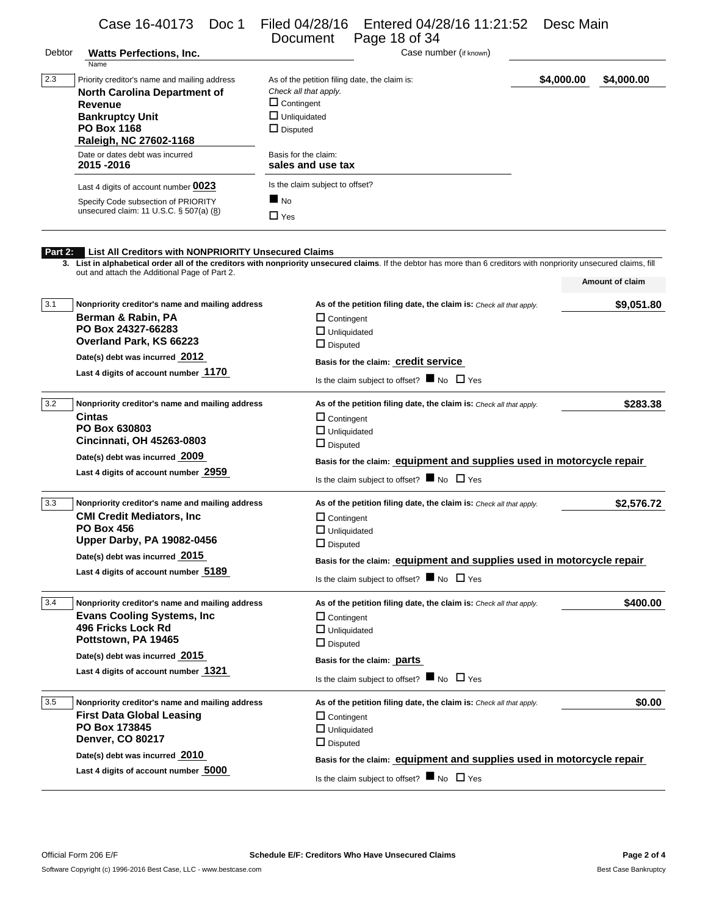|         | Case 16-40173<br>Doc 1                                                                                                                                                                                                        | Filed 04/28/16<br>Document                                                                                                            | Entered 04/28/16 11:21:52<br>Page 18 of 34                                                                                                                                                                   | Desc Main  |                 |
|---------|-------------------------------------------------------------------------------------------------------------------------------------------------------------------------------------------------------------------------------|---------------------------------------------------------------------------------------------------------------------------------------|--------------------------------------------------------------------------------------------------------------------------------------------------------------------------------------------------------------|------------|-----------------|
| Debtor  | <b>Watts Perfections, Inc.</b><br>Name                                                                                                                                                                                        |                                                                                                                                       | Case number (if known)                                                                                                                                                                                       |            |                 |
| 2.3     | Priority creditor's name and mailing address<br><b>North Carolina Department of</b><br>Revenue<br><b>Bankruptcy Unit</b><br><b>PO Box 1168</b><br>Raleigh, NC 27602-1168                                                      | As of the petition filing date, the claim is:<br>Check all that apply.<br>$\Box$ Contingent<br>$\Box$ Unliquidated<br>$\Box$ Disputed |                                                                                                                                                                                                              | \$4,000.00 | \$4,000.00      |
|         | Date or dates debt was incurred<br>2015-2016                                                                                                                                                                                  | Basis for the claim:<br>sales and use tax                                                                                             |                                                                                                                                                                                                              |            |                 |
|         | Last 4 digits of account number 0023                                                                                                                                                                                          | Is the claim subject to offset?                                                                                                       |                                                                                                                                                                                                              |            |                 |
|         | Specify Code subsection of PRIORITY<br>unsecured claim: 11 U.S.C. § 507(a) (8)                                                                                                                                                | $\blacksquare$ No<br>$\Box$ Yes                                                                                                       |                                                                                                                                                                                                              |            |                 |
| Part 2: | List All Creditors with NONPRIORITY Unsecured Claims<br>3. List in alphabetical order all of the creditors with nonpriority unsecured claims. If the debtor has more than 6 creditors with nonpriority unsecured claims, fill |                                                                                                                                       |                                                                                                                                                                                                              |            |                 |
|         | out and attach the Additional Page of Part 2.                                                                                                                                                                                 |                                                                                                                                       |                                                                                                                                                                                                              |            | Amount of claim |
| 3.1     | Nonpriority creditor's name and mailing address<br>Berman & Rabin, PA<br>PO Box 24327-66283<br>Overland Park, KS 66223<br>Date(s) debt was incurred 2012<br>Last 4 digits of account number 1170                              | $\Box$ Contingent<br>$\Box$ Unliquidated<br>$\Box$ Disputed                                                                           | As of the petition filing date, the claim is: Check all that apply.<br>Basis for the claim: Credit service<br>Is the claim subject to offset? $\blacksquare$ No $\Box$ Yes                                   |            | \$9,051.80      |
| 3.2     |                                                                                                                                                                                                                               |                                                                                                                                       |                                                                                                                                                                                                              |            |                 |
|         | Nonpriority creditor's name and mailing address<br><b>Cintas</b><br>PO Box 630803<br>Cincinnati, OH 45263-0803<br>Date(s) debt was incurred 2009<br>Last 4 digits of account number 2959                                      | $\Box$ Contingent<br>$\Box$ Unliquidated<br>$\Box$ Disputed                                                                           | As of the petition filing date, the claim is: Check all that apply.<br>Basis for the claim: equipment and supplies used in motorcycle repair<br>Is the claim subject to offset? $\blacksquare$ No $\Box$ Yes |            | \$283.38        |
| 3.3     | Nonpriority creditor's name and mailing address<br><b>CMI Credit Mediators, Inc.</b><br>PO Box 456<br><b>Upper Darby, PA 19082-0456</b>                                                                                       | $\Box$ Contingent<br>$\Box$ Unliquidated<br>$\Box$ Disputed                                                                           | As of the petition filing date, the claim is: Check all that apply.                                                                                                                                          |            | \$2,576.72      |
|         | Date(s) debt was incurred 2015<br>Last 4 digits of account number 5189                                                                                                                                                        |                                                                                                                                       | Basis for the claim: equipment and supplies used in motorcycle repair<br>Is the claim subject to offset? $\blacksquare$ No $\Box$ Yes                                                                        |            |                 |
| 3.4     | Nonpriority creditor's name and mailing address<br><b>Evans Cooling Systems, Inc.</b><br>496 Fricks Lock Rd<br>Pottstown, PA 19465<br>Date(s) debt was incurred 2015                                                          | $\Box$ Contingent<br>$\Box$ Unliquidated<br>$\Box$ Disputed                                                                           | As of the petition filing date, the claim is: Check all that apply.<br>Basis for the claim: <b>parts</b>                                                                                                     |            | \$400.00        |
|         | Last 4 digits of account number 1321                                                                                                                                                                                          |                                                                                                                                       | Is the claim subject to offset? $\blacksquare$ No $\Box$ Yes                                                                                                                                                 |            |                 |
| 3.5     | Nonpriority creditor's name and mailing address<br><b>First Data Global Leasing</b><br>PO Box 173845<br><b>Denver, CO 80217</b><br>Date(s) debt was incurred 2010                                                             | $\Box$ Contingent<br>$\Box$ Unliquidated<br>$\Box$ Disputed                                                                           | As of the petition filing date, the claim is: Check all that apply.                                                                                                                                          |            | \$0.00          |
|         | Last 4 digits of account number 5000                                                                                                                                                                                          |                                                                                                                                       | Basis for the claim: equipment and supplies used in motorcycle repair<br>Is the claim subject to offset? $\blacksquare$ No $\Box$ Yes                                                                        |            |                 |
|         |                                                                                                                                                                                                                               |                                                                                                                                       |                                                                                                                                                                                                              |            |                 |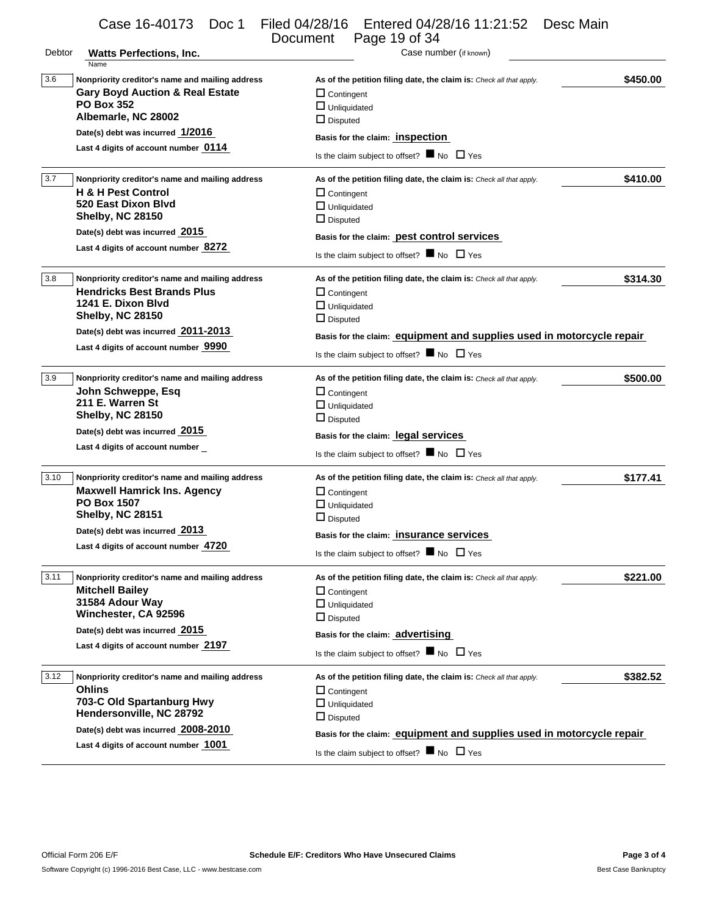Debtor **Watts Perfections, Inc. Case number (if known)** Case number (if known) Name 3.6 **Nonpriority creditor's name and mailing address As of the petition filing date, the claim is:** *Check all that apply.* **\$450.00 Gary Boyd Auction & Real Estate PO Box 352 Albemarle, NC 28002 Date(s) debt was incurred 1/2016 Last 4 digits of account number 0114**  □ Contingent **Unliquidated** Disputed **Basis for the claim: inspection**  Is the claim subject to offset?  $\blacksquare$  No  $\Box$  Yes 3.7 **Nonpriority creditor's name and mailing address As of the petition filing date, the claim is:** *Check all that apply.* **\$410.00 H & H Pest Control 520 East Dixon Blvd Shelby, NC 28150 Date(s) debt was incurred 2015 Last 4 digits of account number 8272**  □ Contingent **Unliquidated**  $\square$  Disputed **Basis for the claim: pest control services**  Is the claim subject to offset?  $\blacksquare$  No  $\Box$  Yes 3.8 **Nonpriority creditor's name and mailing address As of the petition filing date, the claim is:** *Check all that apply.* **\$314.30 Hendricks Best Brands Plus 1241 E. Dixon Blvd Shelby, NC 28150 Date(s) debt was incurred 2011-2013 Last 4 digits of account number 9990**  □ Contingent **Unliquidated** D Disputed **Basis for the claim: equipment and supplies used in motorcycle repair**  Is the claim subject to offset?  $\blacksquare$  No  $\Box$  Yes 3.9 **Nonpriority creditor's name and mailing address As of the petition filing date, the claim is:** *Check all that apply.* **\$500.00 John Schweppe, Esq 211 E. Warren St Shelby, NC 28150 Date(s) debt was incurred 2015 Last 4 digits of account number**  □ Contingent **Unliquidated** Disputed **Basis for the claim: legal services**  Is the claim subject to offset?  $\blacksquare$  No  $\Box$  Yes 3.10 **Nonpriority creditor's name and mailing address As of the petition filing date, the claim is:** *Check all that apply.* **\$177.41 Maxwell Hamrick Ins. Agency PO Box 1507 Shelby, NC 28151 Date(s) debt was incurred 2013 Last 4 digits of account number 4720**  □ Contingent **Unliquidated** Disputed **Basis for the claim: insurance services**  Is the claim subject to offset?  $\blacksquare$  No  $\Box$  Yes 3.11 **Nonpriority creditor's name and mailing address As of the petition filing date, the claim is:** *Check all that apply.* **\$221.00 Mitchell Bailey 31584 Adour Way Winchester, CA 92596 Date(s) debt was incurred 2015 Last 4 digits of account number 2197**  □ Contingent **Unliquidated** Disputed **Basis for the claim: advertising**  Is the claim subject to offset?  $\blacksquare$  No  $\Box$  Yes 3.12 **Nonpriority creditor's name and mailing address As of the petition filing date, the claim is:** *Check all that apply.* **\$382.52 Ohlins 703-C Old Spartanburg Hwy Hendersonville, NC 28792 Date(s) debt was incurred 2008-2010 Last 4 digits of account number 1001**  □ Contingent **Unliquidated** Disputed **Basis for the claim: equipment and supplies used in motorcycle repair**  Is the claim subject to offset?  $\blacksquare$  No  $\Box$  Yes Case 16-40173 Doc 1 Filed 04/28/16 Entered 04/28/16 11:21:52 Desc Main Page 19 of 34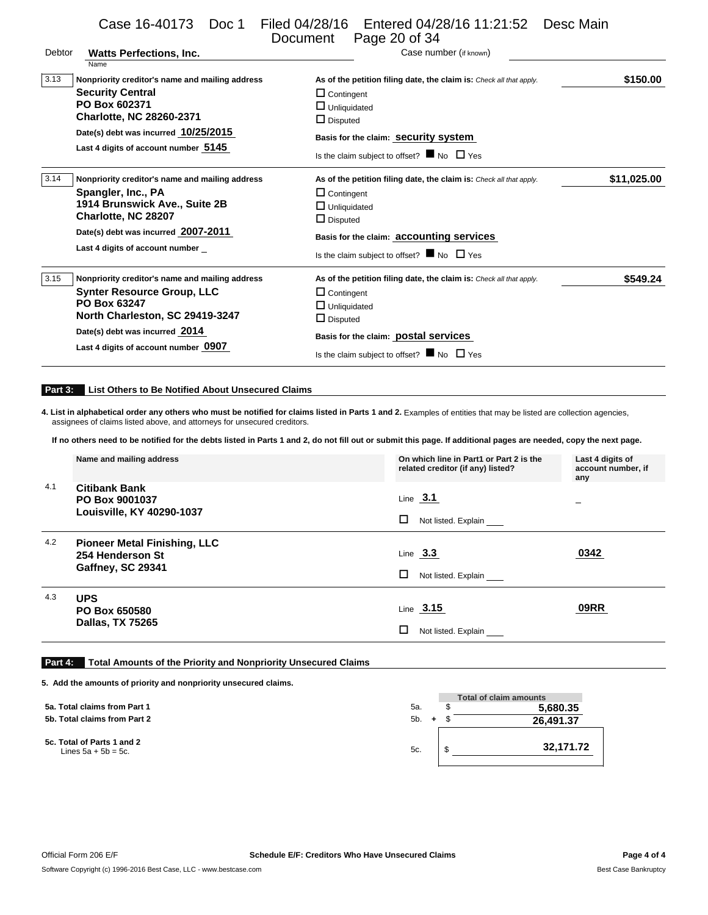|         | Case 16-40173 Doc 1                                                                                                                                                                                               | Filed 04/28/16   Entered 04/28/16 11:21:52<br>Page 20 of 34<br>Document                                                                                                                                                                                                                                                                | Desc Main                              |
|---------|-------------------------------------------------------------------------------------------------------------------------------------------------------------------------------------------------------------------|----------------------------------------------------------------------------------------------------------------------------------------------------------------------------------------------------------------------------------------------------------------------------------------------------------------------------------------|----------------------------------------|
| Debtor  | <b>Watts Perfections, Inc.</b><br>Name                                                                                                                                                                            | Case number (if known)                                                                                                                                                                                                                                                                                                                 |                                        |
| 3.13    | Nonpriority creditor's name and mailing address<br><b>Security Central</b><br>PO Box 602371<br><b>Charlotte, NC 28260-2371</b><br>Date(s) debt was incurred 10/25/2015<br>Last 4 digits of account number 5145    | As of the petition filing date, the claim is: Check all that apply.<br>$\Box$ Contingent<br>$\Box$ Unliquidated<br>$\Box$ Disputed<br>Basis for the claim: Security System<br>Is the claim subject to offset? $\blacksquare$ No $\Box$ Yes                                                                                             | \$150.00                               |
| 3.14    | Nonpriority creditor's name and mailing address<br>Spangler, Inc., PA<br>1914 Brunswick Ave., Suite 2B<br>Charlotte, NC 28207<br>Date(s) debt was incurred 2007-2011<br>Last 4 digits of account number           | As of the petition filing date, the claim is: Check all that apply.<br>$\Box$ Contingent<br>$\Box$ Unliquidated<br>$\Box$ Disputed<br>Basis for the claim: accounting services<br>Is the claim subject to offset? $\blacksquare$ No $\Box$ Yes                                                                                         | \$11,025.00                            |
| 3.15    | Nonpriority creditor's name and mailing address<br><b>Synter Resource Group, LLC</b><br>PO Box 63247<br>North Charleston, SC 29419-3247<br>Date(s) debt was incurred 2014<br>Last 4 digits of account number 0907 | As of the petition filing date, the claim is: Check all that apply.<br>$\Box$ Contingent<br>$\Box$ Unliquidated<br>$\Box$ Disputed<br>Basis for the claim: <b>postal services</b><br>Is the claim subject to offset? $\blacksquare$ No $\Box$ Yes                                                                                      | \$549.24                               |
| Part 3: | List Others to Be Notified About Unsecured Claims<br>assignees of claims listed above, and attorneys for unsecured creditors.                                                                                     | 4. List in alphabetical order any others who must be notified for claims listed in Parts 1 and 2. Examples of entities that may be listed are collection agencies,<br>If no others need to be notified for the debts listed in Parts 1 and 2, do not fill out or submit this page. If additional pages are needed, copy the next page. |                                        |
|         | Name and mailing address                                                                                                                                                                                          | On which line in Part1 or Part 2 is the<br>related creditor (if any) listed?                                                                                                                                                                                                                                                           | Last 4 digits of<br>account number, if |
| 4.1     | <b>Citibank Bank</b><br>PO Box 9001037<br>Louisville, KY 40290-1037                                                                                                                                               | Line $3.1$<br>□<br>Not listed. Explain                                                                                                                                                                                                                                                                                                 | any                                    |
| 4.2     | <b>Pioneer Metal Finishing, LLC</b><br>254 Henderson St<br><b>Gaffney, SC 29341</b>                                                                                                                               | Line $3.3$<br>□<br>Not listed. Explain                                                                                                                                                                                                                                                                                                 | 0342                                   |
| 4.3     | <b>UPS</b><br>PO Box 650580                                                                                                                                                                                       | Line $3.15$                                                                                                                                                                                                                                                                                                                            | <b>09RR</b>                            |

### **Part 4: Total Amounts of the Priority and Nonpriority Unsecured Claims**

**5. Add the amounts of priority and nonpriority unsecured claims.**

**Dallas, TX 75265**

|                                                      |         | <b>Total of claim amounts</b> |
|------------------------------------------------------|---------|-------------------------------|
| 5a. Total claims from Part 1                         | 5а.     | 5,680.35                      |
| 5b. Total claims from Part 2                         | $5b. +$ | 26,491.37                     |
| 5c. Total of Parts 1 and 2<br>Lines $5a + 5b = 5c$ . | 5c.     | 32.171.72                     |

 $\square$  Not listed. Explain \_\_\_\_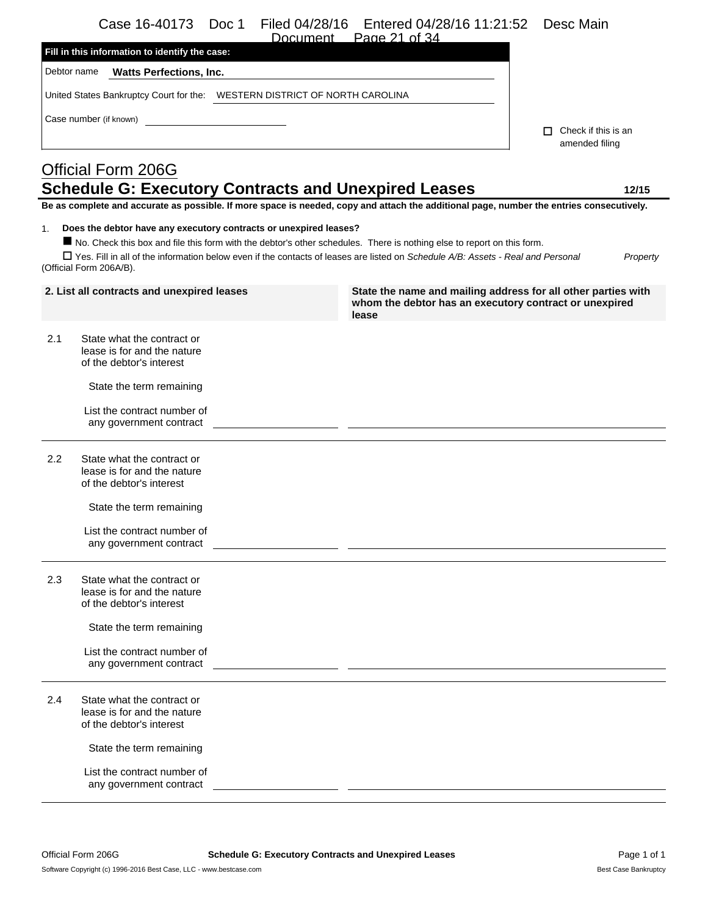|     | Case 16-40173<br>Doc 1<br>Filed 04/28/16<br>Document                                                                                                                                                                                                                                                                                                        | Entered 04/28/16 11:21:52<br>Page 21 of 34                                                                                       | Desc Main                                    |
|-----|-------------------------------------------------------------------------------------------------------------------------------------------------------------------------------------------------------------------------------------------------------------------------------------------------------------------------------------------------------------|----------------------------------------------------------------------------------------------------------------------------------|----------------------------------------------|
|     | Fill in this information to identify the case:                                                                                                                                                                                                                                                                                                              |                                                                                                                                  |                                              |
|     | Debtor name<br><b>Watts Perfections, Inc.</b>                                                                                                                                                                                                                                                                                                               |                                                                                                                                  |                                              |
|     | United States Bankruptcy Court for the:    VESTERN DISTRICT OF NORTH CAROLINA                                                                                                                                                                                                                                                                               |                                                                                                                                  |                                              |
|     | Case number (if known)                                                                                                                                                                                                                                                                                                                                      |                                                                                                                                  |                                              |
|     |                                                                                                                                                                                                                                                                                                                                                             |                                                                                                                                  | $\Box$ Check if this is an<br>amended filing |
|     | <b>Official Form 206G</b>                                                                                                                                                                                                                                                                                                                                   |                                                                                                                                  |                                              |
|     | <b>Schedule G: Executory Contracts and Unexpired Leases</b>                                                                                                                                                                                                                                                                                                 |                                                                                                                                  | 12/15                                        |
|     | Be as complete and accurate as possible. If more space is needed, copy and attach the additional page, number the entries consecutively.                                                                                                                                                                                                                    |                                                                                                                                  |                                              |
| 1.  | Does the debtor have any executory contracts or unexpired leases?<br>No. Check this box and file this form with the debtor's other schedules. There is nothing else to report on this form.<br>□ Yes. Fill in all of the information below even if the contacts of leases are listed on Schedule A/B: Assets - Real and Personal<br>(Official Form 206A/B). |                                                                                                                                  | Property                                     |
|     | 2. List all contracts and unexpired leases                                                                                                                                                                                                                                                                                                                  | State the name and mailing address for all other parties with<br>whom the debtor has an executory contract or unexpired<br>lease |                                              |
| 2.1 | State what the contract or<br>lease is for and the nature<br>of the debtor's interest                                                                                                                                                                                                                                                                       |                                                                                                                                  |                                              |
|     | State the term remaining                                                                                                                                                                                                                                                                                                                                    |                                                                                                                                  |                                              |
|     | List the contract number of<br>any government contract                                                                                                                                                                                                                                                                                                      |                                                                                                                                  |                                              |
| 2.2 | State what the contract or<br>lease is for and the nature<br>of the debtor's interest                                                                                                                                                                                                                                                                       |                                                                                                                                  |                                              |
|     | State the term remaining                                                                                                                                                                                                                                                                                                                                    |                                                                                                                                  |                                              |
|     | List the contract number of<br>any government contract                                                                                                                                                                                                                                                                                                      |                                                                                                                                  |                                              |
| 2.3 | State what the contract or<br>lease is for and the nature<br>of the debtor's interest                                                                                                                                                                                                                                                                       |                                                                                                                                  |                                              |
|     | State the term remaining                                                                                                                                                                                                                                                                                                                                    |                                                                                                                                  |                                              |
|     | List the contract number of                                                                                                                                                                                                                                                                                                                                 |                                                                                                                                  |                                              |

 $\overline{a}$   $\overline{a}$ 

 $\overline{\phantom{a}}$ 

| 2.4 | State what the contract or  |
|-----|-----------------------------|
|     | lease is for and the nature |
|     | of the debtor's interest    |

State the term remaining

any government contract

List the contract number of any government contract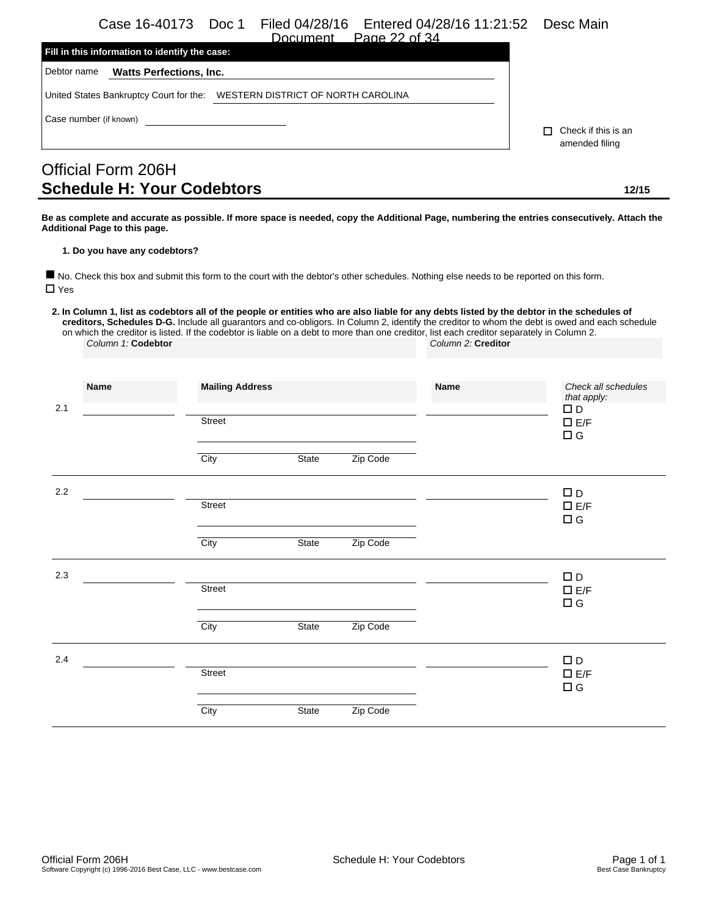Case 16-40173 Doc 1 Filed 04/28/16 Entered 04/28/16 11:21:52 Desc Main

|                        |                                                | Document Page 22 of 34                                                     |  |
|------------------------|------------------------------------------------|----------------------------------------------------------------------------|--|
|                        | Fill in this information to identify the case: |                                                                            |  |
| Debtor name            | <b>Watts Perfections, Inc.</b>                 |                                                                            |  |
|                        |                                                | United States Bankruptcy Court for the: WESTERN DISTRICT OF NORTH CAROLINA |  |
| Case number (if known) |                                                |                                                                            |  |

 Check if this is an amended filing

# Official Form 206H **Schedule H: Your Codebtors 12/15**

**Be as complete and accurate as possible. If more space is needed, copy the Additional Page, numbering the entries consecutively. Attach the Additional Page to this page.**

#### **1. Do you have any codebtors?**

 No. Check this box and submit this form to the court with the debtor's other schedules. Nothing else needs to be reported on this form. □ Yes

**2. In Column 1, list as codebtors all of the people or entities who are also liable for any debts listed by the debtor in the schedules of creditors, Schedules D-G.** Include all guarantors and co-obligors. In Column 2, identify the creditor to whom the debt is owed and each schedule on which the creditor is listed. If the codebtor is liable on a debt to more than one creditor, list each creditor separately in Column 2. *Column 1:* **Codebtor** *Column 2:* **Creditor**

| 2.1 | Name | <b>Mailing Address</b> |       |          | Name | Check all schedules<br>that apply:<br>$\square$ D |
|-----|------|------------------------|-------|----------|------|---------------------------------------------------|
|     |      | Street                 |       |          |      | $\Box$ E/F<br>$\Box$ G                            |
|     |      | City                   | State | Zip Code |      |                                                   |
| 2.2 |      | Street                 |       |          |      | $\square$ D<br>$\square$ E/F<br>$\Box$ G          |
|     |      | City                   | State | Zip Code |      |                                                   |
| 2.3 |      |                        |       |          |      | $\square$ D                                       |
|     |      | Street                 |       |          |      | $\square$ E/F<br>$\Box$ G                         |
|     |      | City                   | State | Zip Code |      |                                                   |
| 2.4 |      |                        |       |          |      | $\Box$ D                                          |
|     |      | Street                 |       |          |      | $\square$ E/F<br>$\Box$ G                         |
|     |      | City                   | State | Zip Code |      |                                                   |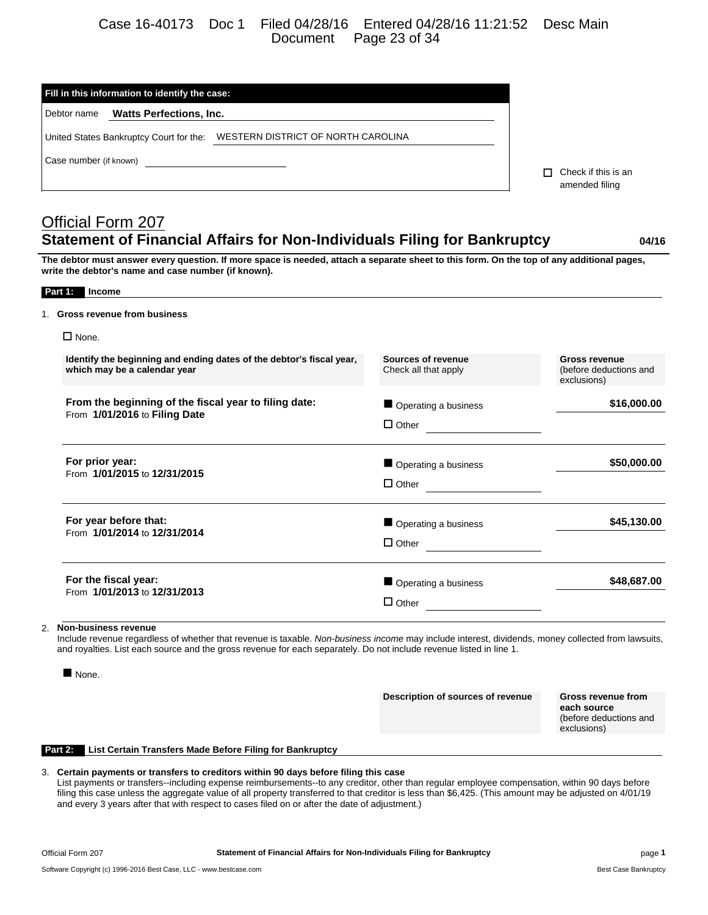## Case 16-40173 Doc 1 Filed 04/28/16 Entered 04/28/16 11:21:52 Desc Main Document Page 23 of 34

| Debtor name<br><b>Watts Perfections, Inc.</b>                                                                                                                                                                                  |                                     |                            |
|--------------------------------------------------------------------------------------------------------------------------------------------------------------------------------------------------------------------------------|-------------------------------------|----------------------------|
|                                                                                                                                                                                                                                |                                     |                            |
| United States Bankruptcy Court for the: WESTERN DISTRICT OF NORTH CAROLINA                                                                                                                                                     |                                     |                            |
| Case number (if known) and the contract of the contract of the contract of the contract of the contract of the contract of the contract of the contract of the contract of the contract of the contract of the contract of the |                                     | $\Box$ Check if this is an |
|                                                                                                                                                                                                                                |                                     | amended filing             |
|                                                                                                                                                                                                                                |                                     |                            |
| <b>Official Form 207</b>                                                                                                                                                                                                       |                                     |                            |
| <b>Statement of Financial Affairs for Non-Individuals Filing for Bankruptcy</b>                                                                                                                                                |                                     | 04/16                      |
| The debtor must answer every question. If more space is needed, attach a separate sheet to this form. On the top of any additional pages,<br>write the debtor's name and case number (if known).                               |                                     |                            |
| Part 1: Income                                                                                                                                                                                                                 |                                     |                            |
| 1. Gross revenue from business                                                                                                                                                                                                 |                                     |                            |
| $\Box$ None.                                                                                                                                                                                                                   |                                     |                            |
| Identify the beginning and ending dates of the debtor's fiscal year,                                                                                                                                                           | Sources of revenue                  | <b>Gross revenue</b>       |
| which may be a calendar year                                                                                                                                                                                                   | Check all that apply                | (before deductions and     |
|                                                                                                                                                                                                                                |                                     | exclusions)                |
| From the beginning of the fiscal year to filing date:                                                                                                                                                                          | Operating a business                |                            |
| From 1/01/2016 to Filing Date                                                                                                                                                                                                  | $\Box$ Other                        |                            |
| For prior year:                                                                                                                                                                                                                | Operating a business                | \$16,000.00<br>\$50,000.00 |
| From 1/01/2015 to 12/31/2015                                                                                                                                                                                                   | $\Box$ Other                        |                            |
| For year before that:                                                                                                                                                                                                          | Operating a business                | \$45,130.00                |
| From 1/01/2014 to 12/31/2014                                                                                                                                                                                                   | $\Box$ Other $\qquad \qquad \qquad$ |                            |
| For the fiscal year:<br>From 1/01/2013 to 12/31/2013                                                                                                                                                                           | Operating a business                | \$48,687.00                |

Include revenue regardless of whether that revenue is taxable. *Non-business income* may include interest, dividends, money collected from lawsuits, and royalties. List each source and the gross revenue for each separately. Do not include revenue listed in line 1.

None.

**Description of sources of revenue Gross revenue from**

**each source** (before deductions and exclusions)

### **Part 2: List Certain Transfers Made Before Filing for Bankruptcy**

### 3. **Certain payments or transfers to creditors within 90 days before filing this case**

List payments or transfers--including expense reimbursements--to any creditor, other than regular employee compensation, within 90 days before filing this case unless the aggregate value of all property transferred to that creditor is less than \$6,425. (This amount may be adjusted on 4/01/19 and every 3 years after that with respect to cases filed on or after the date of adjustment.)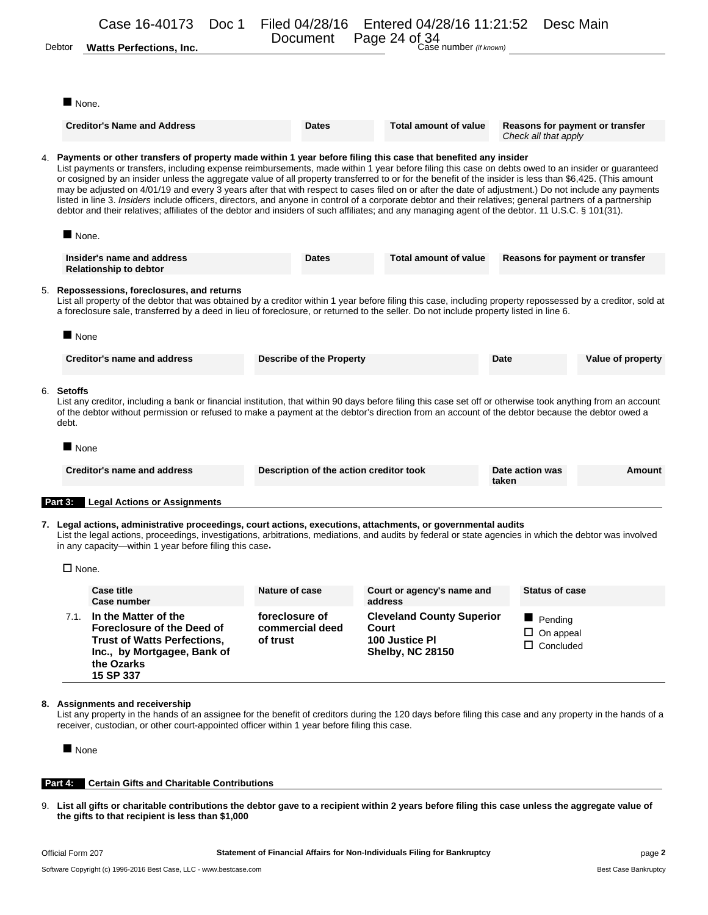| Debtor                | Case 16-40173<br>Doc 1<br><b>Watts Perfections, Inc.</b>                                                                                                                                                                                                                                                                                                                                                                                                                                                                                                                                                                                                                                                                                                                                                                                                                                                     | Filed 04/28/16<br>Document              | Entered 04/28/16 11:21:52 Desc Main<br>Page 24 of 34<br>Case number (if known) |                                                         |                             |
|-----------------------|--------------------------------------------------------------------------------------------------------------------------------------------------------------------------------------------------------------------------------------------------------------------------------------------------------------------------------------------------------------------------------------------------------------------------------------------------------------------------------------------------------------------------------------------------------------------------------------------------------------------------------------------------------------------------------------------------------------------------------------------------------------------------------------------------------------------------------------------------------------------------------------------------------------|-----------------------------------------|--------------------------------------------------------------------------------|---------------------------------------------------------|-----------------------------|
|                       |                                                                                                                                                                                                                                                                                                                                                                                                                                                                                                                                                                                                                                                                                                                                                                                                                                                                                                              |                                         |                                                                                |                                                         |                             |
|                       | $\blacksquare$ None.                                                                                                                                                                                                                                                                                                                                                                                                                                                                                                                                                                                                                                                                                                                                                                                                                                                                                         |                                         |                                                                                |                                                         |                             |
|                       | <b>Creditor's Name and Address</b>                                                                                                                                                                                                                                                                                                                                                                                                                                                                                                                                                                                                                                                                                                                                                                                                                                                                           | <b>Dates</b>                            | <b>Total amount of value</b>                                                   | Reasons for payment or transfer<br>Check all that apply |                             |
|                       | 4. Payments or other transfers of property made within 1 year before filing this case that benefited any insider<br>List payments or transfers, including expense reimbursements, made within 1 year before filing this case on debts owed to an insider or guaranteed<br>or cosigned by an insider unless the aggregate value of all property transferred to or for the benefit of the insider is less than \$6,425. (This amount<br>may be adjusted on 4/01/19 and every 3 years after that with respect to cases filed on or after the date of adjustment.) Do not include any payments<br>listed in line 3. Insiders include officers, directors, and anyone in control of a corporate debtor and their relatives; general partners of a partnership<br>debtor and their relatives; affiliates of the debtor and insiders of such affiliates; and any managing agent of the debtor. 11 U.S.C. § 101(31). |                                         |                                                                                |                                                         |                             |
|                       | $\blacksquare$ None.                                                                                                                                                                                                                                                                                                                                                                                                                                                                                                                                                                                                                                                                                                                                                                                                                                                                                         |                                         |                                                                                |                                                         |                             |
|                       | Insider's name and address<br><b>Relationship to debtor</b>                                                                                                                                                                                                                                                                                                                                                                                                                                                                                                                                                                                                                                                                                                                                                                                                                                                  | Dates                                   | Total amount of value                                                          | Reasons for payment or transfer                         |                             |
|                       | 5. Repossessions, foreclosures, and returns<br>List all property of the debtor that was obtained by a creditor within 1 year before filing this case, including property repossessed by a creditor, sold at<br>a foreclosure sale, transferred by a deed in lieu of foreclosure, or returned to the seller. Do not include property listed in line 6.                                                                                                                                                                                                                                                                                                                                                                                                                                                                                                                                                        |                                         |                                                                                |                                                         |                             |
|                       | $\blacksquare$ None                                                                                                                                                                                                                                                                                                                                                                                                                                                                                                                                                                                                                                                                                                                                                                                                                                                                                          |                                         |                                                                                |                                                         |                             |
|                       |                                                                                                                                                                                                                                                                                                                                                                                                                                                                                                                                                                                                                                                                                                                                                                                                                                                                                                              |                                         |                                                                                |                                                         |                             |
|                       | <b>Creditor's name and address</b>                                                                                                                                                                                                                                                                                                                                                                                                                                                                                                                                                                                                                                                                                                                                                                                                                                                                           | <b>Describe of the Property</b>         |                                                                                | Date                                                    |                             |
| debt.                 | List any creditor, including a bank or financial institution, that within 90 days before filing this case set off or otherwise took anything from an account<br>of the debtor without permission or refused to make a payment at the debtor's direction from an account of the debtor because the debtor owed a                                                                                                                                                                                                                                                                                                                                                                                                                                                                                                                                                                                              |                                         |                                                                                |                                                         |                             |
|                       | $\blacksquare$ None                                                                                                                                                                                                                                                                                                                                                                                                                                                                                                                                                                                                                                                                                                                                                                                                                                                                                          |                                         |                                                                                |                                                         |                             |
|                       | Creditor's name and address                                                                                                                                                                                                                                                                                                                                                                                                                                                                                                                                                                                                                                                                                                                                                                                                                                                                                  | Description of the action creditor took |                                                                                | Date action was<br>taken                                |                             |
| 6. Setoffs<br>Part 3: | <b>Legal Actions or Assignments</b>                                                                                                                                                                                                                                                                                                                                                                                                                                                                                                                                                                                                                                                                                                                                                                                                                                                                          |                                         |                                                                                |                                                         | Value of property<br>Amount |
|                       | 7. Legal actions, administrative proceedings, court actions, executions, attachments, or governmental audits<br>List the legal actions, proceedings, investigations, arbitrations, mediations, and audits by federal or state agencies in which the debtor was involved<br>in any capacity—within 1 year before filing this case.                                                                                                                                                                                                                                                                                                                                                                                                                                                                                                                                                                            |                                         |                                                                                |                                                         |                             |
|                       | $\square$ None.                                                                                                                                                                                                                                                                                                                                                                                                                                                                                                                                                                                                                                                                                                                                                                                                                                                                                              |                                         |                                                                                |                                                         |                             |
|                       | <b>Case title</b><br>Case number                                                                                                                                                                                                                                                                                                                                                                                                                                                                                                                                                                                                                                                                                                                                                                                                                                                                             | Nature of case                          | Court or agency's name and<br>address                                          | <b>Status of case</b>                                   |                             |

List any property in the hands of an assignee for the benefit of creditors during the 120 days before filing this case and any property in the hands of a receiver, custodian, or other court-appointed officer within 1 year before filing this case.

None

### **Part 4: Certain Gifts and Charitable Contributions**

9. **List all gifts or charitable contributions the debtor gave to a recipient within 2 years before filing this case unless the aggregate value of the gifts to that recipient is less than \$1,000**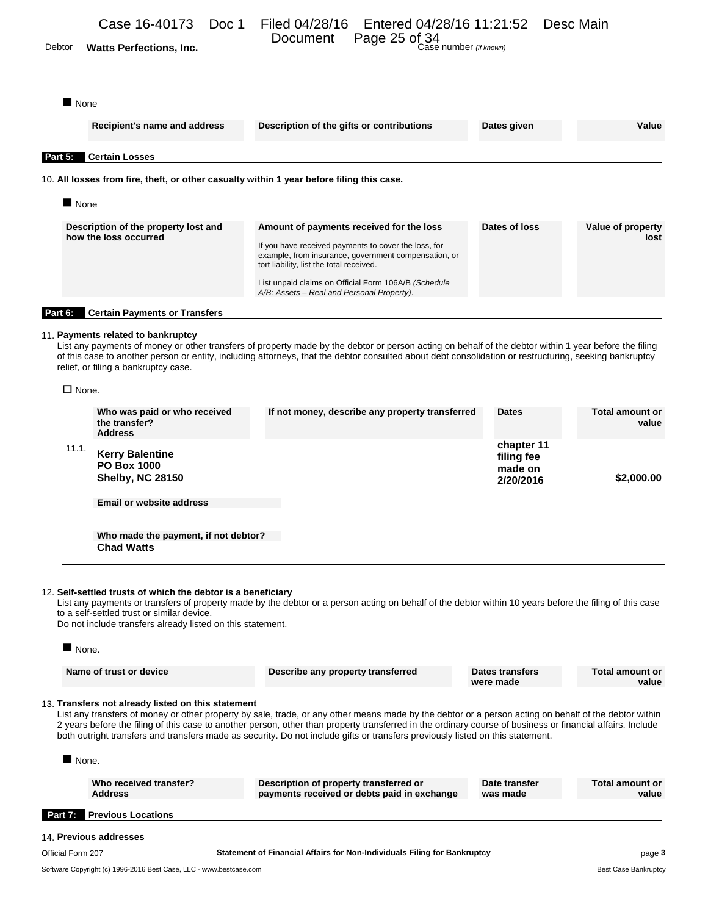Document Page 25 of 34<br>Debtor **Watts Perfections, Inc.** Document Page 25 of 34 Case number *(if known)* Page 25 of 34

None

| Recipient's name and address                                                              | Description of the gifts or contributions                                                                                                                                                                                                                                                                  | Dates given   | Value                     |
|-------------------------------------------------------------------------------------------|------------------------------------------------------------------------------------------------------------------------------------------------------------------------------------------------------------------------------------------------------------------------------------------------------------|---------------|---------------------------|
| Part 5:<br><b>Certain Losses</b>                                                          |                                                                                                                                                                                                                                                                                                            |               |                           |
| 10. All losses from fire, theft, or other casualty within 1 year before filing this case. |                                                                                                                                                                                                                                                                                                            |               |                           |
| $\blacksquare$ None                                                                       |                                                                                                                                                                                                                                                                                                            |               |                           |
| Description of the property lost and<br>how the loss occurred                             | Amount of payments received for the loss<br>If you have received payments to cover the loss, for<br>example, from insurance, government compensation, or<br>tort liability, list the total received.<br>List unpaid claims on Official Form 106A/B (Schedule<br>A/B: Assets – Real and Personal Property). | Dates of loss | Value of property<br>lost |
| Part 6:<br><b>Certain Payments or Transfers</b>                                           |                                                                                                                                                                                                                                                                                                            |               |                           |

#### 11. **Payments related to bankruptcy**

List any payments of money or other transfers of property made by the debtor or person acting on behalf of the debtor within 1 year before the filing of this case to another person or entity, including attorneys, that the debtor consulted about debt consolidation or restructuring, seeking bankruptcy relief, or filing a bankruptcy case.

 $\square$  None.

| 11.1. | <b>Kerry Balentine</b><br><b>PO Box 1000</b><br><b>Shelby, NC 28150</b> |                                                 | chapter 11<br>filing fee<br>made on<br>2/20/2016 | \$2,000.00                      |
|-------|-------------------------------------------------------------------------|-------------------------------------------------|--------------------------------------------------|---------------------------------|
|       | Who was paid or who received<br>the transfer?<br><b>Address</b>         | If not money, describe any property transferred | <b>Dates</b>                                     | <b>Total amount or</b><br>value |

**Email or website address**

**Who made the payment, if not debtor? Chad Watts**

#### 12. **Self-settled trusts of which the debtor is a beneficiary**

List any payments or transfers of property made by the debtor or a person acting on behalf of the debtor within 10 years before the filing of this case to a self-settled trust or similar device.

Do not include transfers already listed on this statement.

| None.                                                             |                                                                                                                                                                                                                                                                                                                                                                                                                                                       |                              |                                 |
|-------------------------------------------------------------------|-------------------------------------------------------------------------------------------------------------------------------------------------------------------------------------------------------------------------------------------------------------------------------------------------------------------------------------------------------------------------------------------------------------------------------------------------------|------------------------------|---------------------------------|
| Name of trust or device                                           | Describe any property transferred                                                                                                                                                                                                                                                                                                                                                                                                                     | Dates transfers<br>were made | <b>Total amount or</b><br>value |
| 13. Transfers not already listed on this statement<br><b>None</b> | List any transfers of money or other property by sale, trade, or any other means made by the debtor or a person acting on behalf of the debtor within<br>2 years before the filing of this case to another person, other than property transferred in the ordinary course of business or financial affairs. Include<br>both outright transfers and transfers made as security. Do not include gifts or transfers previously listed on this statement. |                              |                                 |

| Who received transfer?<br><b>Address</b> | Description of property transferred or<br>payments received or debts paid in exchange | Date transfer<br>was made | Total amount or<br>value |
|------------------------------------------|---------------------------------------------------------------------------------------|---------------------------|--------------------------|
| <b>Party Previous Locations</b>          |                                                                                       |                           |                          |
| 14. Previous addresses                   |                                                                                       |                           |                          |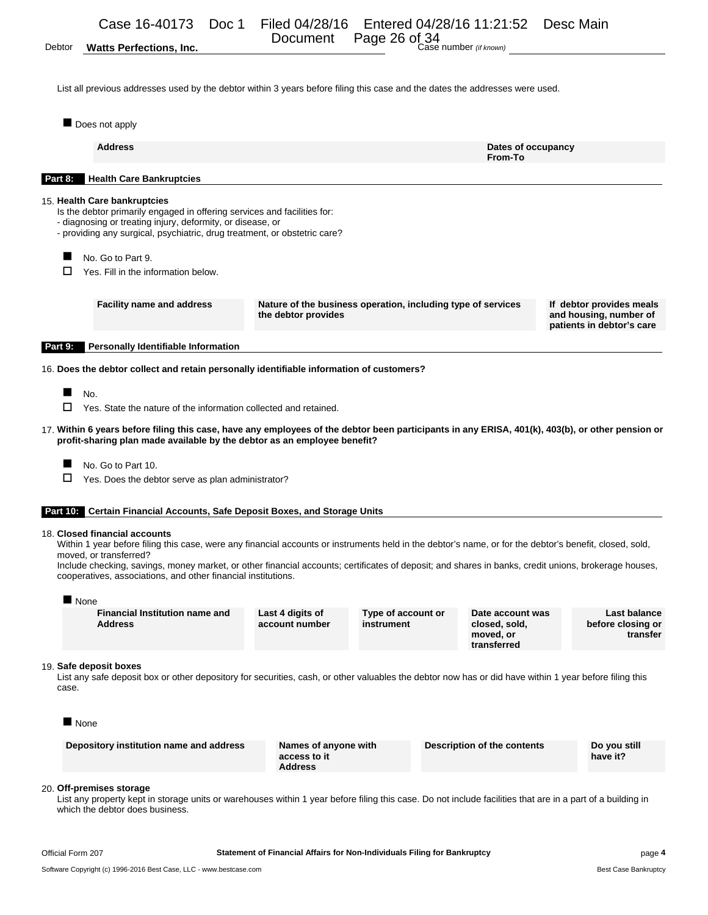Document Page 26 of 34<br>Debtor Watts Perfections, Inc. **Case number** (if known)

List all previous addresses used by the debtor within 3 years before filing this case and the dates the addresses were used.

 $\blacksquare$  Does not apply

| Dues not apply                                                                                                                                                                                    |                                                                                                                                                                                                                                                                                                                                                                                                                                                                                                                                                                                                                                                                                                                                                                                                                                                                                                                                                                                                                                                                                                                                                                                                                                                                                                                                                                                                                                                                                                                                |                                           |                               |
|---------------------------------------------------------------------------------------------------------------------------------------------------------------------------------------------------|--------------------------------------------------------------------------------------------------------------------------------------------------------------------------------------------------------------------------------------------------------------------------------------------------------------------------------------------------------------------------------------------------------------------------------------------------------------------------------------------------------------------------------------------------------------------------------------------------------------------------------------------------------------------------------------------------------------------------------------------------------------------------------------------------------------------------------------------------------------------------------------------------------------------------------------------------------------------------------------------------------------------------------------------------------------------------------------------------------------------------------------------------------------------------------------------------------------------------------------------------------------------------------------------------------------------------------------------------------------------------------------------------------------------------------------------------------------------------------------------------------------------------------|-------------------------------------------|-------------------------------|
| <b>Address</b>                                                                                                                                                                                    |                                                                                                                                                                                                                                                                                                                                                                                                                                                                                                                                                                                                                                                                                                                                                                                                                                                                                                                                                                                                                                                                                                                                                                                                                                                                                                                                                                                                                                                                                                                                | From-To                                   |                               |
| <b>Health Care Bankruptcies</b><br>Part 8:                                                                                                                                                        |                                                                                                                                                                                                                                                                                                                                                                                                                                                                                                                                                                                                                                                                                                                                                                                                                                                                                                                                                                                                                                                                                                                                                                                                                                                                                                                                                                                                                                                                                                                                |                                           |                               |
| 15. Health Care bankruptcies                                                                                                                                                                      | Dates of occupancy<br>Is the debtor primarily engaged in offering services and facilities for:<br>- diagnosing or treating injury, deformity, or disease, or<br>- providing any surgical, psychiatric, drug treatment, or obstetric care?<br><b>Facility name and address</b><br>Nature of the business operation, including type of services<br>If debtor provides meals<br>the debtor provides<br>and housing, number of<br>patients in debtor's care<br>16. Does the debtor collect and retain personally identifiable information of customers?<br>Yes. State the nature of the information collected and retained.<br>17. Within 6 years before filing this case, have any employees of the debtor been participants in any ERISA, 401(k), 403(b), or other pension or<br>profit-sharing plan made available by the debtor as an employee benefit?<br>Yes. Does the debtor serve as plan administrator?<br>Part 10: Certain Financial Accounts, Safe Deposit Boxes, and Storage Units<br>Within 1 year before filing this case, were any financial accounts or instruments held in the debtor's name, or for the debtor's benefit, closed, sold,<br>Include checking, savings, money market, or other financial accounts; certificates of deposit; and shares in banks, credit unions, brokerage houses,<br>cooperatives, associations, and other financial institutions.<br><b>Financial Institution name and</b><br><b>Last balance</b><br>Type of account or<br>Date account was<br>Last 4 digits of<br>account number |                                           |                               |
| No. Go to Part 9.<br>п<br>Yes. Fill in the information below.                                                                                                                                     |                                                                                                                                                                                                                                                                                                                                                                                                                                                                                                                                                                                                                                                                                                                                                                                                                                                                                                                                                                                                                                                                                                                                                                                                                                                                                                                                                                                                                                                                                                                                |                                           |                               |
|                                                                                                                                                                                                   |                                                                                                                                                                                                                                                                                                                                                                                                                                                                                                                                                                                                                                                                                                                                                                                                                                                                                                                                                                                                                                                                                                                                                                                                                                                                                                                                                                                                                                                                                                                                |                                           |                               |
| <b>Personally Identifiable Information</b><br>Part 9:                                                                                                                                             |                                                                                                                                                                                                                                                                                                                                                                                                                                                                                                                                                                                                                                                                                                                                                                                                                                                                                                                                                                                                                                                                                                                                                                                                                                                                                                                                                                                                                                                                                                                                |                                           |                               |
|                                                                                                                                                                                                   |                                                                                                                                                                                                                                                                                                                                                                                                                                                                                                                                                                                                                                                                                                                                                                                                                                                                                                                                                                                                                                                                                                                                                                                                                                                                                                                                                                                                                                                                                                                                |                                           |                               |
| No.<br>□<br>No. Go to Part 10.<br>□<br>18. Closed financial accounts<br>moved, or transferred?                                                                                                    |                                                                                                                                                                                                                                                                                                                                                                                                                                                                                                                                                                                                                                                                                                                                                                                                                                                                                                                                                                                                                                                                                                                                                                                                                                                                                                                                                                                                                                                                                                                                |                                           |                               |
| None<br><b>Address</b>                                                                                                                                                                            | instrument                                                                                                                                                                                                                                                                                                                                                                                                                                                                                                                                                                                                                                                                                                                                                                                                                                                                                                                                                                                                                                                                                                                                                                                                                                                                                                                                                                                                                                                                                                                     | closed, sold,<br>moved, or<br>transferred | before closing or<br>transfer |
| 19. Safe deposit boxes<br>List any safe deposit box or other depository for securities, cash, or other valuables the debtor now has or did have within 1 year before filing this<br>case.<br>None |                                                                                                                                                                                                                                                                                                                                                                                                                                                                                                                                                                                                                                                                                                                                                                                                                                                                                                                                                                                                                                                                                                                                                                                                                                                                                                                                                                                                                                                                                                                                |                                           |                               |
| Depository institution name and address                                                                                                                                                           | Names of anyone with<br>access to it<br><b>Address</b>                                                                                                                                                                                                                                                                                                                                                                                                                                                                                                                                                                                                                                                                                                                                                                                                                                                                                                                                                                                                                                                                                                                                                                                                                                                                                                                                                                                                                                                                         | <b>Description of the contents</b>        | Do you still<br>have it?      |
| 20. Off-premises storage<br>List any property kept in storage units or warehouses within 1 year before filing this case. Do not include facilities that are in a part of a building in            |                                                                                                                                                                                                                                                                                                                                                                                                                                                                                                                                                                                                                                                                                                                                                                                                                                                                                                                                                                                                                                                                                                                                                                                                                                                                                                                                                                                                                                                                                                                                |                                           |                               |

which the debtor does business.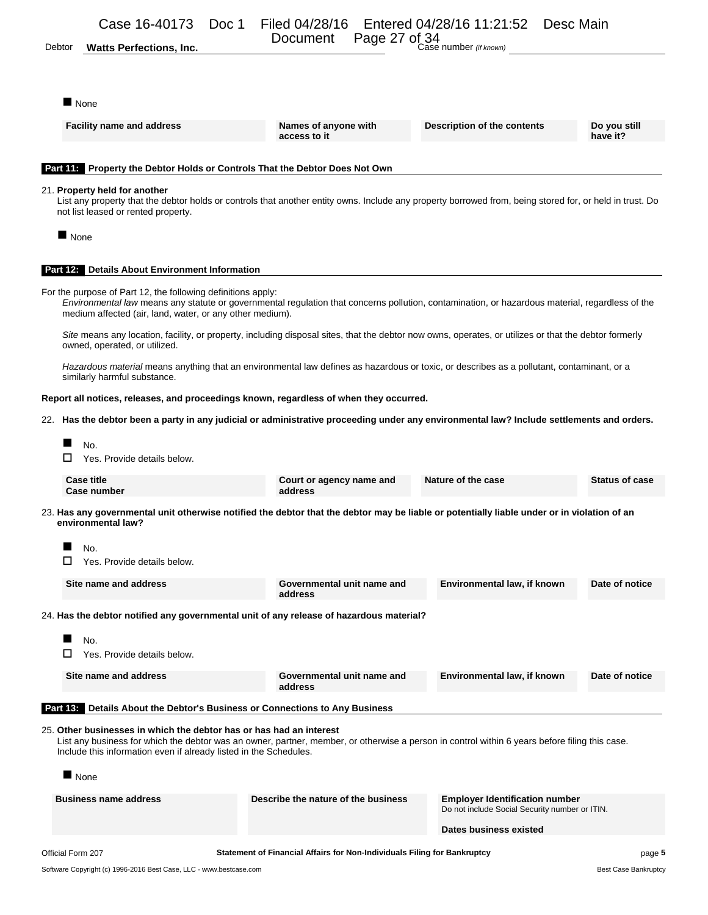Document Page 27 of 34<br>Debtor Watts Perfections, Inc. **Case number** (if known)

■ None

| <b>Facility name and address</b>                                                                                                                                                                                                                                                           | Names of anyone with<br>access to it                                     | Description of the contents                                                             | Do you still<br>have it? |
|--------------------------------------------------------------------------------------------------------------------------------------------------------------------------------------------------------------------------------------------------------------------------------------------|--------------------------------------------------------------------------|-----------------------------------------------------------------------------------------|--------------------------|
| Part 11: Property the Debtor Holds or Controls That the Debtor Does Not Own                                                                                                                                                                                                                |                                                                          |                                                                                         |                          |
| 21. Property held for another<br>List any property that the debtor holds or controls that another entity owns. Include any property borrowed from, being stored for, or held in trust. Do<br>not list leased or rented property.                                                           |                                                                          |                                                                                         |                          |
| $\blacksquare$ None                                                                                                                                                                                                                                                                        |                                                                          |                                                                                         |                          |
| <b>Part 12. Details About Environment Information</b>                                                                                                                                                                                                                                      |                                                                          |                                                                                         |                          |
| For the purpose of Part 12, the following definitions apply:<br>Environmental law means any statute or governmental regulation that concerns pollution, contamination, or hazardous material, regardless of the<br>medium affected (air, land, water, or any other medium).                |                                                                          |                                                                                         |                          |
| Site means any location, facility, or property, including disposal sites, that the debtor now owns, operates, or utilizes or that the debtor formerly<br>owned, operated, or utilized.                                                                                                     |                                                                          |                                                                                         |                          |
| Hazardous material means anything that an environmental law defines as hazardous or toxic, or describes as a pollutant, contaminant, or a<br>similarly harmful substance.                                                                                                                  |                                                                          |                                                                                         |                          |
| Report all notices, releases, and proceedings known, regardless of when they occurred.                                                                                                                                                                                                     |                                                                          |                                                                                         |                          |
| 22. Has the debtor been a party in any judicial or administrative proceeding under any environmental law? Include settlements and orders.                                                                                                                                                  |                                                                          |                                                                                         |                          |
| No.<br>□<br>Yes. Provide details below.                                                                                                                                                                                                                                                    |                                                                          |                                                                                         |                          |
| <b>Case title</b><br>Case number                                                                                                                                                                                                                                                           | Court or agency name and<br>address                                      | Nature of the case                                                                      | <b>Status of case</b>    |
| 23. Has any governmental unit otherwise notified the debtor that the debtor may be liable or potentially liable under or in violation of an<br>environmental law?                                                                                                                          |                                                                          |                                                                                         |                          |
| No.                                                                                                                                                                                                                                                                                        |                                                                          |                                                                                         |                          |
| □<br>Yes. Provide details below.                                                                                                                                                                                                                                                           |                                                                          |                                                                                         |                          |
| Site name and address                                                                                                                                                                                                                                                                      | Governmental unit name and<br>address                                    | Environmental law, if known                                                             | Date of notice           |
| 24. Has the debtor notified any governmental unit of any release of hazardous material?                                                                                                                                                                                                    |                                                                          |                                                                                         |                          |
| No.                                                                                                                                                                                                                                                                                        |                                                                          |                                                                                         |                          |
| Yes. Provide details below.                                                                                                                                                                                                                                                                |                                                                          |                                                                                         |                          |
| Site name and address                                                                                                                                                                                                                                                                      | Governmental unit name and<br>address                                    | Environmental law, if known                                                             | Date of notice           |
| <b>Part 13.</b> Details About the Debtor's Business or Connections to Any Business                                                                                                                                                                                                         |                                                                          |                                                                                         |                          |
| 25. Other businesses in which the debtor has or has had an interest<br>List any business for which the debtor was an owner, partner, member, or otherwise a person in control within 6 years before filing this case.<br>Include this information even if already listed in the Schedules. |                                                                          |                                                                                         |                          |
| None                                                                                                                                                                                                                                                                                       |                                                                          |                                                                                         |                          |
| <b>Business name address</b>                                                                                                                                                                                                                                                               | Describe the nature of the business                                      | <b>Employer Identification number</b><br>Do not include Social Security number or ITIN. |                          |
|                                                                                                                                                                                                                                                                                            |                                                                          | Dates business existed                                                                  |                          |
| Official Form 207                                                                                                                                                                                                                                                                          | Statement of Financial Affairs for Non-Individuals Filing for Bankruptcy |                                                                                         | page 5                   |

Software Copyright (c) 1996-2016 Best Case, LLC - www.bestcase.com **Best Case Bankruptcy** Best Case Bankruptcy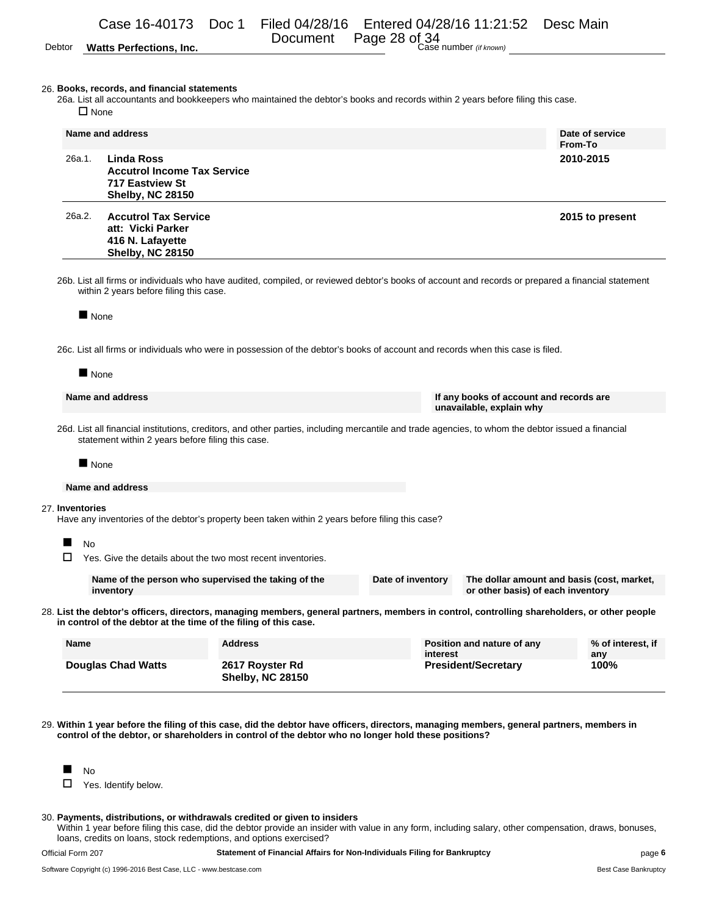# Document Page 28 of 34<br>Debtor **Watts Perfections, Inc.** Document Page 28 of 34 Case number *(if known)*

Page 28 of 34

#### 26. **Books, records, and financial statements**

26a. List all accountants and bookkeepers who maintained the debtor's books and records within 2 years before filing this case.  $\square$  None

|        | Name and address                                                                                                                                                                              | Date of service<br>From-To |
|--------|-----------------------------------------------------------------------------------------------------------------------------------------------------------------------------------------------|----------------------------|
| 26a.1. | Linda Ross<br><b>Accutrol Income Tax Service</b><br>717 Eastview St<br><b>Shelby, NC 28150</b>                                                                                                | 2010-2015                  |
| 26a.2. | <b>Accutrol Tax Service</b><br>att: Vicki Parker<br>416 N. Lafayette<br><b>Shelby, NC 28150</b>                                                                                               | 2015 to present            |
|        | 26b. List all firms or individuals who have audited, compiled, or reviewed debtor's books of account and records or prepared a financial statement<br>within 2 years before filing this case. |                            |
| None   | 26c. List all firms or individuals who were in possession of the debtor's books of account and records when this case is filed.                                                               |                            |
| None   |                                                                                                                                                                                               |                            |

**Name and address If any books of account and records are unavailable, explain why**

26d. List all financial institutions, creditors, and other parties, including mercantile and trade agencies, to whom the debtor issued a financial statement within 2 years before filing this case.

None

#### **Name and address**

#### 27. **Inventories**

Have any inventories of the debtor's property been taken within 2 years before filing this case?

No

 $\Box$  Yes. Give the details about the two most recent inventories.

| Name of the person who supervised the taking of the | Date of inventory | The dollar amount and basis (cost, market, |
|-----------------------------------------------------|-------------------|--------------------------------------------|
| inventory                                           |                   | or other basis) of each inventory          |

28. **List the debtor's officers, directors, managing members, general partners, members in control, controlling shareholders, or other people in control of the debtor at the time of the filing of this case.**

| <b>Name</b>               | <b>Address</b>                             | Position and nature of any<br>interest | % of interest, if<br>anv |
|---------------------------|--------------------------------------------|----------------------------------------|--------------------------|
| <b>Douglas Chad Watts</b> | 2617 Royster Rd<br><b>Shelby, NC 28150</b> | <b>President/Secretary</b>             | 100%                     |

29. **Within 1 year before the filing of this case, did the debtor have officers, directors, managing members, general partners, members in control of the debtor, or shareholders in control of the debtor who no longer hold these positions?**



 $\Box$  Yes. Identify below.

#### 30. **Payments, distributions, or withdrawals credited or given to insiders**

Within 1 year before filing this case, did the debtor provide an insider with value in any form, including salary, other compensation, draws, bonuses, loans, credits on loans, stock redemptions, and options exercised?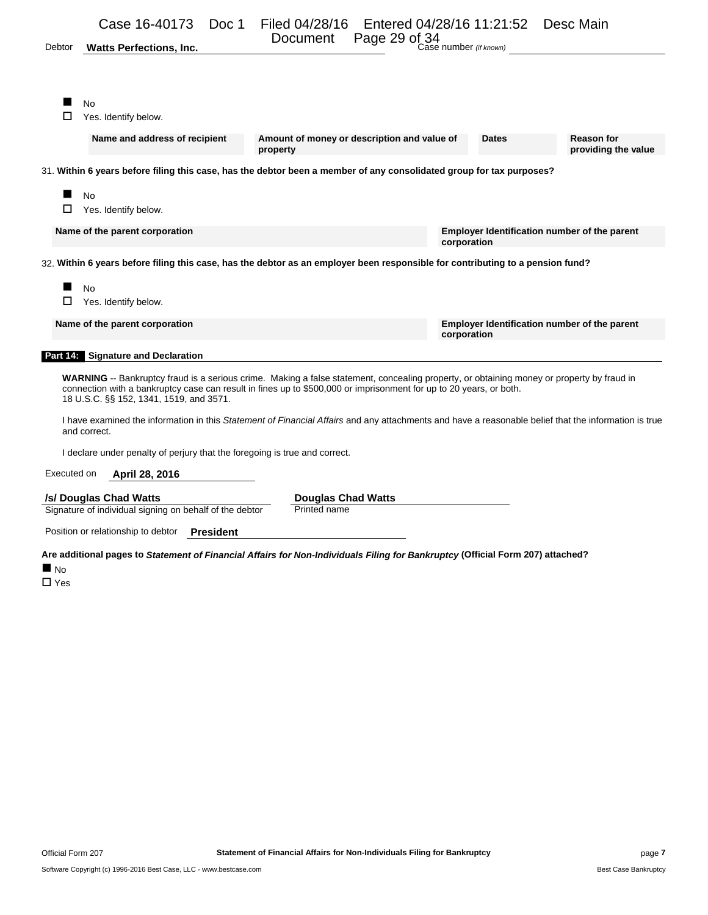| Debtor      | Case 16-40173<br><b>Watts Perfections, Inc.</b>                                                                                                                                                                                                                                                                   | Doc 1            | Filed 04/28/16                                          | Document Page 29 of 34 | Entered 04/28/16 11:21:52<br>Case number (if known) | Desc Main                                                                                                                                            |
|-------------|-------------------------------------------------------------------------------------------------------------------------------------------------------------------------------------------------------------------------------------------------------------------------------------------------------------------|------------------|---------------------------------------------------------|------------------------|-----------------------------------------------------|------------------------------------------------------------------------------------------------------------------------------------------------------|
|             | No<br>Yes. Identify below.                                                                                                                                                                                                                                                                                        |                  |                                                         |                        |                                                     |                                                                                                                                                      |
|             | Name and address of recipient                                                                                                                                                                                                                                                                                     |                  | Amount of money or description and value of<br>property |                        | <b>Dates</b>                                        | <b>Reason for</b><br>providing the value                                                                                                             |
|             | 31. Within 6 years before filing this case, has the debtor been a member of any consolidated group for tax purposes?                                                                                                                                                                                              |                  |                                                         |                        |                                                     |                                                                                                                                                      |
| □           | <b>No</b><br>Yes. Identify below.                                                                                                                                                                                                                                                                                 |                  |                                                         |                        |                                                     |                                                                                                                                                      |
|             | Name of the parent corporation                                                                                                                                                                                                                                                                                    |                  |                                                         |                        | corporation                                         | <b>Employer Identification number of the parent</b>                                                                                                  |
|             | 32. Within 6 years before filing this case, has the debtor as an employer been responsible for contributing to a pension fund?                                                                                                                                                                                    |                  |                                                         |                        |                                                     |                                                                                                                                                      |
|             | No                                                                                                                                                                                                                                                                                                                |                  |                                                         |                        |                                                     |                                                                                                                                                      |
| □           | Yes. Identify below.                                                                                                                                                                                                                                                                                              |                  |                                                         |                        |                                                     |                                                                                                                                                      |
|             | Name of the parent corporation                                                                                                                                                                                                                                                                                    |                  |                                                         |                        | corporation                                         | <b>Employer Identification number of the parent</b>                                                                                                  |
|             | Part 14: Signature and Declaration                                                                                                                                                                                                                                                                                |                  |                                                         |                        |                                                     |                                                                                                                                                      |
|             | <b>WARNING</b> -- Bankruptcy fraud is a serious crime. Making a false statement, concealing property, or obtaining money or property by fraud in<br>connection with a bankruptcy case can result in fines up to \$500,000 or imprisonment for up to 20 years, or both.<br>18 U.S.C. §§ 152, 1341, 1519, and 3571. |                  |                                                         |                        |                                                     |                                                                                                                                                      |
|             | and correct.                                                                                                                                                                                                                                                                                                      |                  |                                                         |                        |                                                     | I have examined the information in this Statement of Financial Affairs and any attachments and have a reasonable belief that the information is true |
|             | I declare under penalty of perjury that the foregoing is true and correct.                                                                                                                                                                                                                                        |                  |                                                         |                        |                                                     |                                                                                                                                                      |
| Executed on | April 28, 2016                                                                                                                                                                                                                                                                                                    |                  |                                                         |                        |                                                     |                                                                                                                                                      |
|             | /s/ Douglas Chad Watts                                                                                                                                                                                                                                                                                            |                  | <b>Douglas Chad Watts</b>                               |                        |                                                     |                                                                                                                                                      |
|             | Signature of individual signing on behalf of the debtor                                                                                                                                                                                                                                                           |                  | Printed name                                            |                        |                                                     |                                                                                                                                                      |
|             | Position or relationship to debtor                                                                                                                                                                                                                                                                                | <b>President</b> |                                                         |                        |                                                     |                                                                                                                                                      |
|             |                                                                                                                                                                                                                                                                                                                   |                  |                                                         |                        |                                                     |                                                                                                                                                      |

**Are additional pages to** *Statement of Financial Affairs for Non-Individuals Filing for Bankruptcy* **(Official Form 207) attached?**

**No**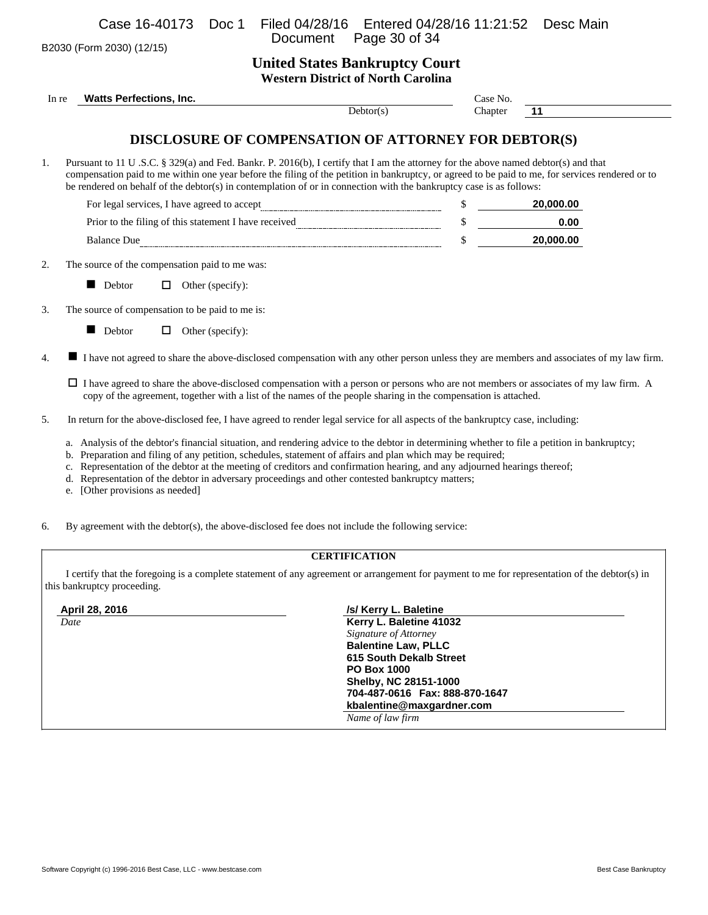B2030 (Form 2030) (12/15)

**United States Bankruptcy Court Western District of North Carolina**

| In re | <b>Watts Perfections, Inc.</b>                                                                                                                                                                                                                                                                                                                                                                                                                                                                                              | Case No. |           |
|-------|-----------------------------------------------------------------------------------------------------------------------------------------------------------------------------------------------------------------------------------------------------------------------------------------------------------------------------------------------------------------------------------------------------------------------------------------------------------------------------------------------------------------------------|----------|-----------|
|       | Dektor(s)                                                                                                                                                                                                                                                                                                                                                                                                                                                                                                                   | Chapter  | 11        |
|       | DISCLOSURE OF COMPENSATION OF ATTORNEY FOR DEBTOR(S)                                                                                                                                                                                                                                                                                                                                                                                                                                                                        |          |           |
|       | Pursuant to 11 U.S.C. § 329(a) and Fed. Bankr. P. 2016(b), I certify that I am the attorney for the above named debtor(s) and that<br>compensation paid to me within one year before the filing of the petition in bankruptcy, or agreed to be paid to me, for services rendered or to<br>be rendered on behalf of the debtor(s) in contemplation of or in connection with the bankruptcy case is as follows:                                                                                                               |          |           |
|       | $\label{eq:2} \textbf{For legal services, I have agreed to accept} \underline{\textit{m}{\textit{m}{\textit{m}{\textit{m}{\textit{m}{\textit{m}}}}}} \underline{\textit{m}{\textit{m}{\textit{m}{\textit{m}{\textit{m}}}}}} \underline{\textit{m}{\textit{m}{\textit{m}{\textit{m}{\textit{m}}}}}} \underline{\textit{m}{\textit{m}{\textit{m}{\textit{m}}}} \underline{\textit{m}{\textit{m}{\textit{m}}}} \underline{\textit{m}{\textit{m}{\textit{m}}}} \underline{\textit{m}{\textit{m}{\textit{m}}}} \$                |          | 20,000.00 |
|       |                                                                                                                                                                                                                                                                                                                                                                                                                                                                                                                             |          | 0.00      |
|       | <b>Balance Due</b>                                                                                                                                                                                                                                                                                                                                                                                                                                                                                                          | \$       | 20,000.00 |
|       | The source of the compensation paid to me was:                                                                                                                                                                                                                                                                                                                                                                                                                                                                              |          |           |
|       | Debtor<br>$\Box$ Other (specify):                                                                                                                                                                                                                                                                                                                                                                                                                                                                                           |          |           |
|       | The source of compensation to be paid to me is:                                                                                                                                                                                                                                                                                                                                                                                                                                                                             |          |           |
|       | Debtor<br>Other (specify):<br>$\Box$                                                                                                                                                                                                                                                                                                                                                                                                                                                                                        |          |           |
| ■     | I have not agreed to share the above-disclosed compensation with any other person unless they are members and associates of my law firm.                                                                                                                                                                                                                                                                                                                                                                                    |          |           |
|       | $\Box$ I have agreed to share the above-disclosed compensation with a person or persons who are not members or associates of my law firm. A<br>copy of the agreement, together with a list of the names of the people sharing in the compensation is attached.                                                                                                                                                                                                                                                              |          |           |
|       | In return for the above-disclosed fee, I have agreed to render legal service for all aspects of the bankruptcy case, including:                                                                                                                                                                                                                                                                                                                                                                                             |          |           |
|       | a. Analysis of the debtor's financial situation, and rendering advice to the debtor in determining whether to file a petition in bankruptcy;<br>b. Preparation and filing of any petition, schedules, statement of affairs and plan which may be required;<br>c. Representation of the debtor at the meeting of creditors and confirmation hearing, and any adjourned hearings thereof;<br>Representation of the debtor in adversary proceedings and other contested bankruptcy matters;<br>e. [Other provisions as needed] |          |           |
|       | By agreement with the debtor(s), the above-disclosed fee does not include the following service:                                                                                                                                                                                                                                                                                                                                                                                                                            |          |           |
|       | <b>CERTIFICATION</b>                                                                                                                                                                                                                                                                                                                                                                                                                                                                                                        |          |           |
|       | I certify that the foregoing is a complete statement of any agreement or arrangement for payment to me for representation of the debtor(s) in<br>this bankruptcy proceeding.                                                                                                                                                                                                                                                                                                                                                |          |           |

| April 28, 2016 | /s/ Kerry L. Baletine             |
|----------------|-----------------------------------|
| Date           | Kerry L. Baletine 41032           |
|                | Signature of Attorney             |
|                | <b>Balentine Law, PLLC</b>        |
|                | <b>615 South Dekalb Street</b>    |
|                | <b>PO Box 1000</b>                |
|                | Shelby, NC 28151-1000             |
|                | 704-487-0616    Fax: 888-870-1647 |
|                | kbalentine@maxgardner.com         |
|                | Name of law firm                  |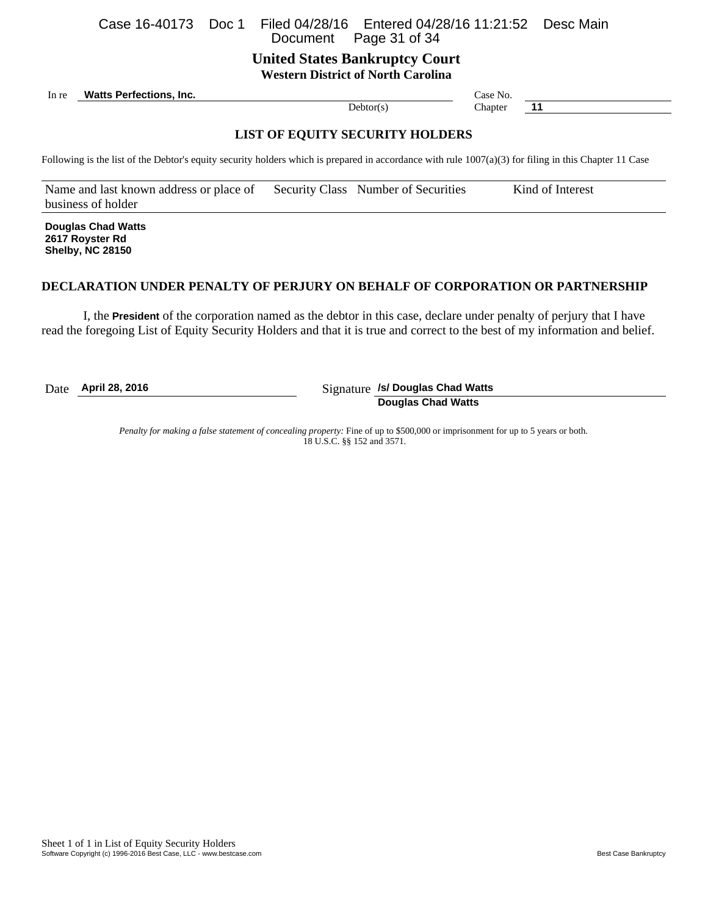### Case 16-40173 Doc 1 Filed 04/28/16 Entered 04/28/16 11:21:52 Desc Main Page 31 of 34

**United States Bankruptcy Court Western District of North Carolina**

In re **Watts Perfections, Inc.** Case No. 2004. The Case No. 2006. Case No. 2006. The Case No. 2006. Case No. 2014.

Debtor(s) Chapter **11** 

## **LIST OF EQUITY SECURITY HOLDERS**

Following is the list of the Debtor's equity security holders which is prepared in accordance with rule  $1007(a)(3)$  for filing in this Chapter 11 Case

Name and last known address or place of business of holder Security Class Number of Securities Kind of Interest

**Douglas Chad Watts 2617 Royster Rd Shelby, NC 28150**

### **DECLARATION UNDER PENALTY OF PERJURY ON BEHALF OF CORPORATION OR PARTNERSHIP**

I, the **President** of the corporation named as the debtor in this case, declare under penalty of perjury that I have read the foregoing List of Equity Security Holders and that it is true and correct to the best of my information and belief.

Date **April 28, 2016** Signature **/s/ Douglas Chad Watts Douglas Chad Watts**

> *Penalty for making a false statement of concealing property:* Fine of up to \$500,000 or imprisonment for up to 5 years or both. 18 U.S.C. §§ 152 and 3571.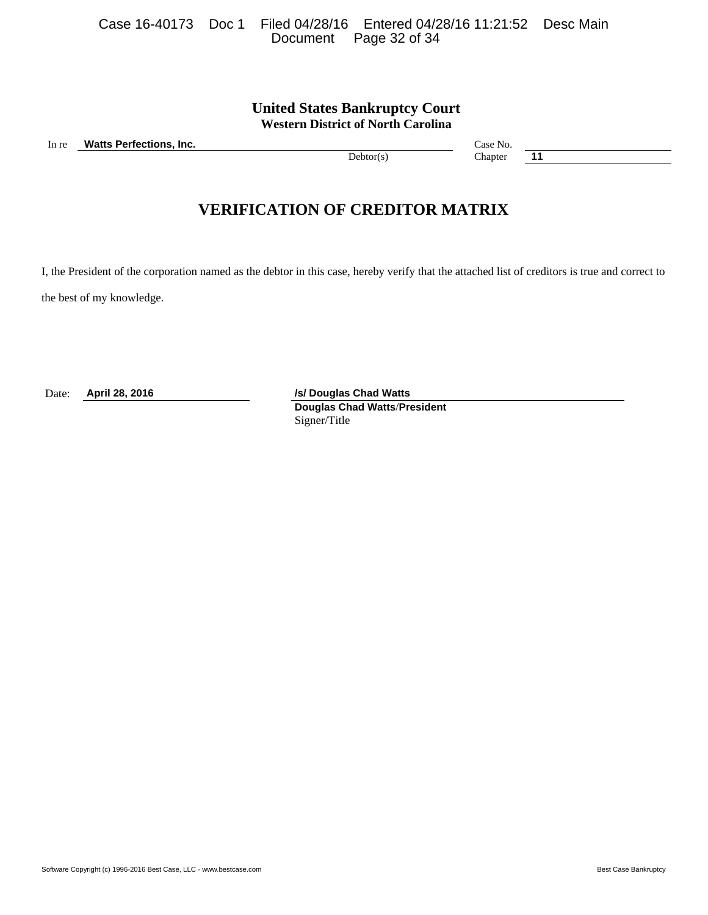Software Copyright (c) 1996-2016 Best Case, LLC - www.bestcase.com **Best Case Bankruptcy** Best Case Bankruptcy

|  | Case 16-40173 Doc 1 Filed 04/28/16 Entered 04/28/16 11:21:52 Desc Main |  |
|--|------------------------------------------------------------------------|--|
|  | Document Page 32 of 34                                                 |  |

# **United States Bankruptcy Court Western District of North Carolina**

In re **Watts Perfections, Inc.** Case No. **Case No.** Case No.

Debtor(s) Chapter **11** 

# **VERIFICATION OF CREDITOR MATRIX**

I, the President of the corporation named as the debtor in this case, hereby verify that the attached list of creditors is true and correct to

the best of my knowledge.

Date: **April 28, 2016** */s/ Douglas Chad Watts* 

**Douglas Chad Watts**/**President** Signer/Title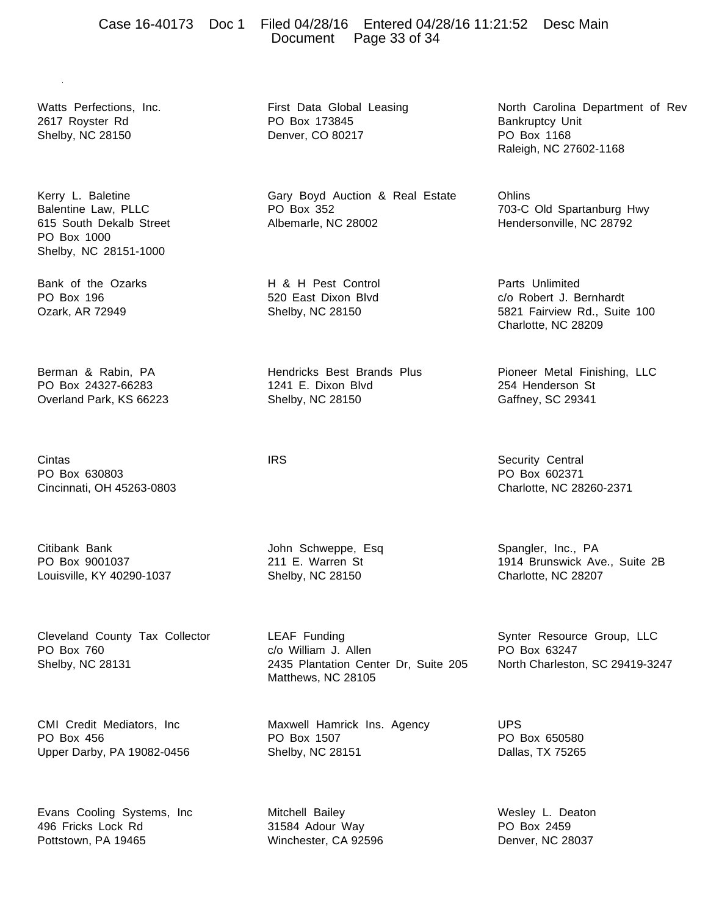### Case 16-40173 Doc 1 Filed 04/28/16 Entered 04/28/16 11:21:52 Desc Main Document Page 33 of 34

Watts Perfections, Inc. 2617 Royster Rd Shelby, NC 28150

Kerry L. Baletine Balentine Law, PLLC 615 South Dekalb Street PO Box 1000 Shelby, NC 28151-1000

Bank of the Ozarks PO Box 196 Ozark, AR 72949

Berman & Rabin, PA PO Box 24327-66283 Overland Park, KS 66223

Cintas PO Box 630803 Cincinnati, OH 45263-0803

Citibank Bank PO Box 9001037 Louisville, KY 40290-1037

Cleveland County Tax Collector PO Box 760 Shelby, NC 28131

CMI Credit Mediators, Inc PO Box 456 Upper Darby, PA 19082-0456

Evans Cooling Systems, Inc 496 Fricks Lock Rd Pottstown, PA 19465

First Data Global Leasing PO Box 173845 Denver, CO 80217

Gary Boyd Auction & Real Estate PO Box 352 Albemarle, NC 28002

H & H Pest Control 520 East Dixon Blvd Shelby, NC 28150

Hendricks Best Brands Plus 1241 E. Dixon Blvd Shelby, NC 28150

**IRS** 

John Schweppe, Esq 211 E. Warren St Shelby, NC 28150

LEAF Funding c/o William J. Allen 2435 Plantation Center Dr, Suite 205 Matthews, NC 28105

Maxwell Hamrick Ins. Agency PO Box 1507 Shelby, NC 28151

Mitchell Bailey 31584 Adour Way Winchester, CA 92596 North Carolina Department of Rev Bankruptcy Unit PO Box 1168 Raleigh, NC 27602-1168

**Ohlins** 703-C Old Spartanburg Hwy Hendersonville, NC 28792

Parts Unlimited c/o Robert J. Bernhardt 5821 Fairview Rd., Suite 100 Charlotte, NC 28209

Pioneer Metal Finishing, LLC 254 Henderson St Gaffney, SC 29341

Security Central PO Box 602371 Charlotte, NC 28260-2371

Spangler, Inc., PA 1914 Brunswick Ave., Suite 2B Charlotte, NC 28207

Synter Resource Group, LLC PO Box 63247 North Charleston, SC 29419-3247

UPS PO Box 650580 Dallas, TX 75265

Wesley L. Deaton PO Box 2459 Denver, NC 28037